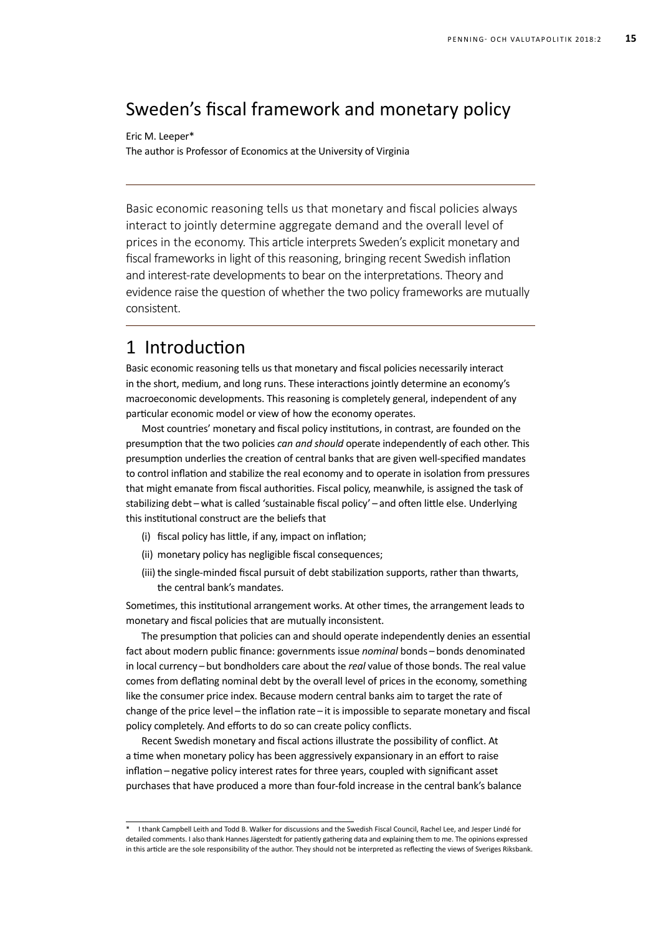# Sweden's fiscal framework and monetary policy

Eric M. Leeper\*

The author is Professor of Economics at the University of Virginia

Basic economic reasoning tells us that monetary and fiscal policies always interact to jointly determine aggregate demand and the overall level of prices in the economy. This article interprets Sweden's explicit monetary and fiscal frameworks in light of this reasoning, bringing recent Swedish inflation and interest-rate developments to bear on the interpretations. Theory and evidence raise the question of whether the two policy frameworks are mutually consistent.

# 1 Introduction

Basic economic reasoning tells us that monetary and fiscal policies necessarily interact in the short, medium, and long runs. These interactions jointly determine an economy's macroeconomic developments. This reasoning is completely general, independent of any particular economic model or view of how the economy operates.

Most countries' monetary and fiscal policy institutions, in contrast, are founded on the presumption that the two policies *can and should* operate independently of each other. This presumption underlies the creation of central banks that are given well-specified mandates to control inflation and stabilize the real economy and to operate in isolation from pressures that might emanate from fiscal authorities. Fiscal policy, meanwhile, is assigned the task of stabilizing debt-what is called 'sustainable fiscal policy'-and often little else. Underlying this institutional construct are the beliefs that

- (i) fiscal policy has little, if any, impact on inflation;
- (ii) monetary policy has negligible fiscal consequences;
- (iii) the single-minded fiscal pursuit of debt stabilization supports, rather than thwarts, the central bank's mandates.

Sometimes, this institutional arrangement works. At other times, the arrangement leads to monetary and fiscal policies that are mutually inconsistent.

The presumption that policies can and should operate independently denies an essential fact about modern public finance: governments issue *nominal* bonds – bonds denominated in local currency – but bondholders care about the *real* value of those bonds. The real value comes from deflating nominal debt by the overall level of prices in the economy, something like the consumer price index. Because modern central banks aim to target the rate of change of the price level – the inflation rate – it is impossible to separate monetary and fiscal policy completely. And efforts to do so can create policy conflicts.

Recent Swedish monetary and fiscal actions illustrate the possibility of conflict. At a time when monetary policy has been aggressively expansionary in an effort to raise inflation – negative policy interest rates for three years, coupled with significant asset purchases that have produced a more than four-fold increase in the central bank's balance

<sup>\*</sup> I thank Campbell Leith and Todd B. Walker for discussions and the Swedish Fiscal Council, Rachel Lee, and Jesper Lindé for detailed comments. I also thank Hannes Jägerstedt for patiently gathering data and explaining them to me. The opinions expressed in this article are the sole responsibility of the author. They should not be interpreted as reflecting the views of Sveriges Riksbank.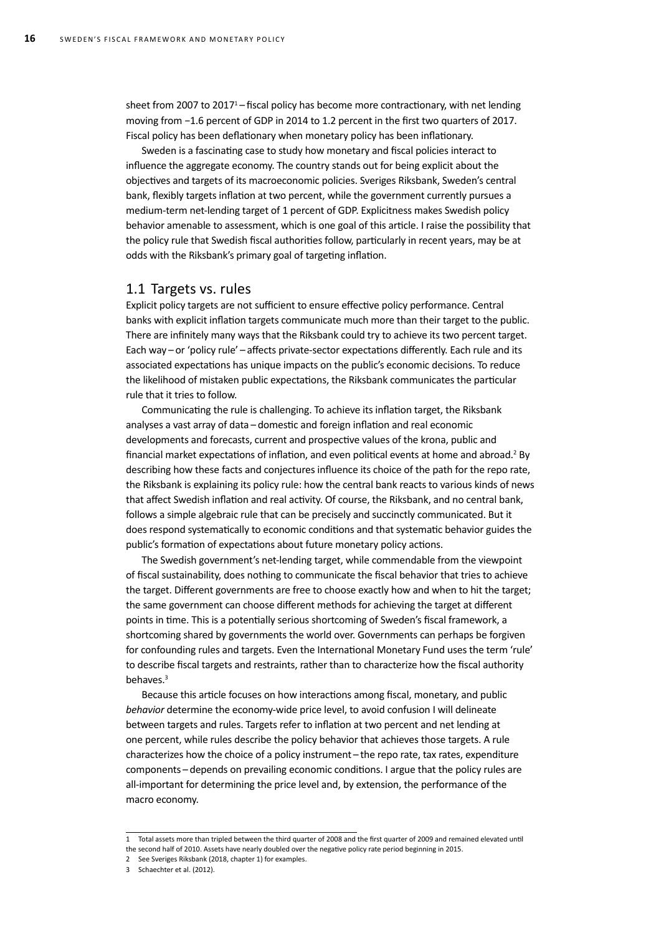sheet from 2007 to 2017<sup>1</sup> – fiscal policy has become more contractionary, with net lending moving from *−*1.6 percent of GDP in 2014 to 1.2 percent in the first two quarters of 2017. Fiscal policy has been deflationary when monetary policy has been inflationary.

Sweden is a fascinating case to study how monetary and fiscal policies interact to influence the aggregate economy. The country stands out for being explicit about the objectives and targets of its macroeconomic policies. Sveriges Riksbank, Sweden's central bank, flexibly targets inflation at two percent, while the government currently pursues a medium-term net-lending target of 1 percent of GDP. Explicitness makes Swedish policy behavior amenable to assessment, which is one goal of this article. I raise the possibility that the policy rule that Swedish fiscal authorities follow, particularly in recent years, may be at odds with the Riksbank's primary goal of targeting inflation.

#### 1.1 Targets vs. rules

Explicit policy targets are not sufficient to ensure effective policy performance. Central banks with explicit inflation targets communicate much more than their target to the public. There are infinitely many ways that the Riksbank could try to achieve its two percent target. Each way – or 'policy rule' – affects private-sector expectations differently. Each rule and its associated expectations has unique impacts on the public's economic decisions. To reduce the likelihood of mistaken public expectations, the Riksbank communicates the particular rule that it tries to follow.

Communicating the rule is challenging. To achieve its inflation target, the Riksbank analyses a vast array of data – domestic and foreign inflation and real economic developments and forecasts, current and prospective values of the krona, public and financial market expectations of inflation, and even political events at home and abroad.<sup>2</sup> By describing how these facts and conjectures influence its choice of the path for the repo rate, the Riksbank is explaining its policy rule: how the central bank reacts to various kinds of news that affect Swedish inflation and real activity. Of course, the Riksbank, and no central bank, follows a simple algebraic rule that can be precisely and succinctly communicated. But it does respond systematically to economic conditions and that systematic behavior guides the public's formation of expectations about future monetary policy actions.

The Swedish government's net-lending target, while commendable from the viewpoint of fiscal sustainability, does nothing to communicate the fiscal behavior that tries to achieve the target. Different governments are free to choose exactly how and when to hit the target; the same government can choose different methods for achieving the target at different points in time. This is a potentially serious shortcoming of Sweden's fiscal framework, a shortcoming shared by governments the world over. Governments can perhaps be forgiven for confounding rules and targets. Even the International Monetary Fund uses the term 'rule' to describe fiscal targets and restraints, rather than to characterize how the fiscal authority behaves.<sup>3</sup>

Because this article focuses on how interactions among fiscal, monetary, and public *behavior* determine the economy-wide price level, to avoid confusion I will delineate between targets and rules. Targets refer to inflation at two percent and net lending at one percent, while rules describe the policy behavior that achieves those targets. A rule characterizes how the choice of a policy instrument – the repo rate, tax rates, expenditure components – depends on prevailing economic conditions. I argue that the policy rules are all-important for determining the price level and, by extension, the performance of the macro economy.

2 See Sveriges Riksbank (2018, chapter 1) for examples.

<sup>1</sup> Total assets more than tripled between the third quarter of 2008 and the first quarter of 2009 and remained elevated until

the second half of 2010. Assets have nearly doubled over the negative policy rate period beginning in 2015.

<sup>3</sup> Schaechter et al. (2012).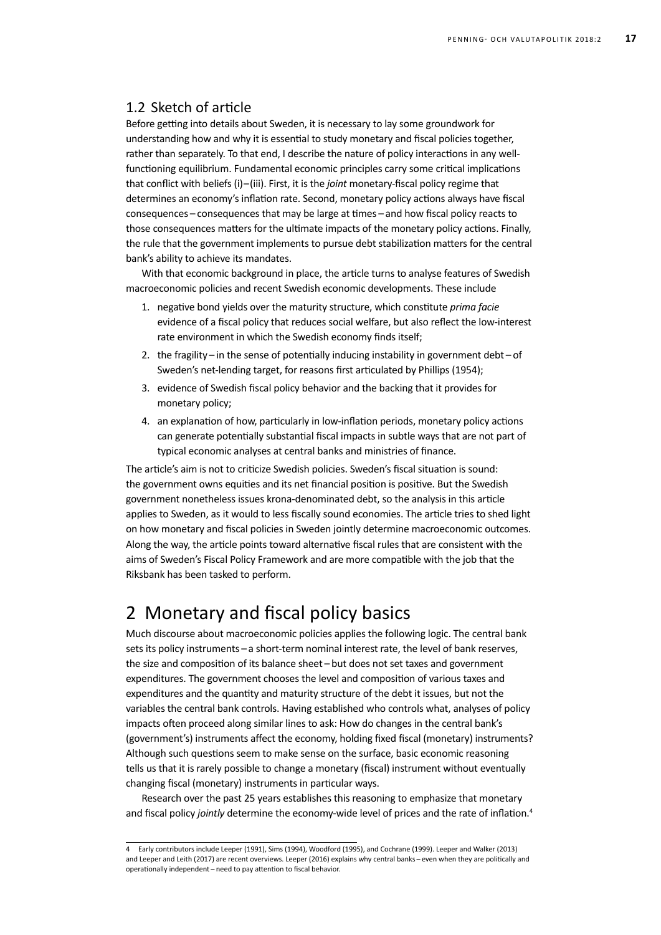### 1.2 Sketch of article

Before getting into details about Sweden, it is necessary to lay some groundwork for understanding how and why it is essential to study monetary and fiscal policies together, rather than separately. To that end, I describe the nature of policy interactions in any wellfunctioning equilibrium. Fundamental economic principles carry some critical implications that conflict with beliefs (i)–(iii). First, it is the *joint* monetary-fiscal policy regime that determines an economy's inflation rate. Second, monetary policy actions always have fiscal consequences – consequences that may be large at times – and how fiscal policy reacts to those consequences matters for the ultimate impacts of the monetary policy actions. Finally, the rule that the government implements to pursue debt stabilization matters for the central bank's ability to achieve its mandates.

With that economic background in place, the article turns to analyse features of Swedish macroeconomic policies and recent Swedish economic developments. These include

- 1. negative bond yields over the maturity structure, which constitute *prima facie*  evidence of a fiscal policy that reduces social welfare, but also reflect the low-interest rate environment in which the Swedish economy finds itself;
- 2. the fragility in the sense of potentially inducing instability in government debt of Sweden's net-lending target, for reasons first articulated by Phillips (1954);
- 3. evidence of Swedish fiscal policy behavior and the backing that it provides for monetary policy;
- 4. an explanation of how, particularly in low-inflation periods, monetary policy actions can generate potentially substantial fiscal impacts in subtle ways that are not part of typical economic analyses at central banks and ministries of finance.

The article's aim is not to criticize Swedish policies. Sweden's fiscal situation is sound: the government owns equities and its net financial position is positive. But the Swedish government nonetheless issues krona-denominated debt, so the analysis in this article applies to Sweden, as it would to less fiscally sound economies. The article tries to shed light on how monetary and fiscal policies in Sweden jointly determine macroeconomic outcomes. Along the way, the article points toward alternative fiscal rules that are consistent with the aims of Sweden's Fiscal Policy Framework and are more compatible with the job that the Riksbank has been tasked to perform.

# 2 Monetary and fiscal policy basics

Much discourse about macroeconomic policies applies the following logic. The central bank sets its policy instruments – a short-term nominal interest rate, the level of bank reserves, the size and composition of its balance sheet – but does not set taxes and government expenditures. The government chooses the level and composition of various taxes and expenditures and the quantity and maturity structure of the debt it issues, but not the variables the central bank controls. Having established who controls what, analyses of policy impacts often proceed along similar lines to ask: How do changes in the central bank's (government's) instruments affect the economy, holding fixed fiscal (monetary) instruments? Although such questions seem to make sense on the surface, basic economic reasoning tells us that it is rarely possible to change a monetary (fiscal) instrument without eventually changing fiscal (monetary) instruments in particular ways.

Research over the past 25 years establishes this reasoning to emphasize that monetary and fiscal policy *jointly* determine the economy-wide level of prices and the rate of inflation.<sup>4</sup>

<sup>4</sup> Early contributors include Leeper (1991), Sims (1994), Woodford (1995), and Cochrane (1999). Leeper and Walker (2013) and Leeper and Leith (2017) are recent overviews. Leeper (2016) explains why central banks – even when they are politically and operationally independent – need to pay attention to fiscal behavior.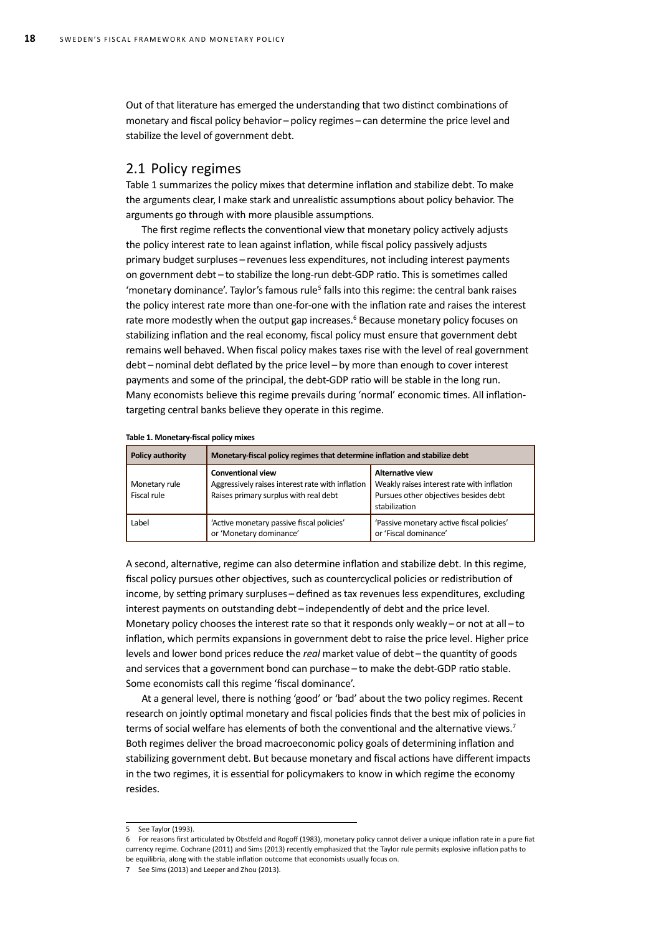Out of that literature has emerged the understanding that two distinct combinations of monetary and fiscal policy behavior – policy regimes – can determine the price level and stabilize the level of government debt.

#### 2.1 Policy regimes

Table 1 summarizes the policy mixes that determine inflation and stabilize debt. To make the arguments clear, I make stark and unrealistic assumptions about policy behavior. The arguments go through with more plausible assumptions.

The first regime reflects the conventional view that monetary policy actively adjusts the policy interest rate to lean against inflation, while fiscal policy passively adjusts primary budget surpluses – revenues less expenditures, not including interest payments on government debt-to stabilize the long-run debt-GDP ratio. This is sometimes called 'monetary dominance'. Taylor's famous rule<sup>5</sup> falls into this regime: the central bank raises the policy interest rate more than one-for-one with the inflation rate and raises the interest rate more modestly when the output gap increases.<sup>6</sup> Because monetary policy focuses on stabilizing inflation and the real economy, fiscal policy must ensure that government debt remains well behaved. When fiscal policy makes taxes rise with the level of real government debt – nominal debt deflated by the price level – by more than enough to cover interest payments and some of the principal, the debt-GDP ratio will be stable in the long run. Many economists believe this regime prevails during 'normal' economic times. All inflationtargeting central banks believe they operate in this regime.

| <b>Policy authority</b>      | Monetary-fiscal policy regimes that determine inflation and stabilize debt                                            |                                                                                                                                 |  |  |
|------------------------------|-----------------------------------------------------------------------------------------------------------------------|---------------------------------------------------------------------------------------------------------------------------------|--|--|
| Monetary rule<br>Fiscal rule | <b>Conventional view</b><br>Aggressively raises interest rate with inflation<br>Raises primary surplus with real debt | <b>Alternative view</b><br>Weakly raises interest rate with inflation<br>Pursues other objectives besides debt<br>stabilization |  |  |
| Label                        | 'Active monetary passive fiscal policies'<br>or 'Monetary dominance'                                                  | 'Passive monetary active fiscal policies'<br>or 'Fiscal dominance'                                                              |  |  |

#### **Table 1. Monetary-fiscal policy mixes**

A second, alternative, regime can also determine inflation and stabilize debt. In this regime, fiscal policy pursues other objectives, such as countercyclical policies or redistribution of income, by setting primary surpluses – defined as tax revenues less expenditures, excluding interest payments on outstanding debt - independently of debt and the price level. Monetary policy chooses the interest rate so that it responds only weakly – or not at all – to inflation, which permits expansions in government debt to raise the price level. Higher price levels and lower bond prices reduce the *real* market value of debt-the quantity of goods and services that a government bond can purchase – to make the debt-GDP ratio stable. Some economists call this regime 'fiscal dominance'.

At a general level, there is nothing 'good' or 'bad' about the two policy regimes. Recent research on jointly optimal monetary and fiscal policies finds that the best mix of policies in terms of social welfare has elements of both the conventional and the alternative views.<sup>7</sup> Both regimes deliver the broad macroeconomic policy goals of determining inflation and stabilizing government debt. But because monetary and fiscal actions have different impacts in the two regimes, it is essential for policymakers to know in which regime the economy resides.

<sup>5</sup> See Taylor (1993).

<sup>6</sup> For reasons first articulated by Obstfeld and Rogoff (1983), monetary policy cannot deliver a unique inflation rate in a pure fiat currency regime. Cochrane (2011) and Sims (2013) recently emphasized that the Taylor rule permits explosive inflation paths to be equilibria, along with the stable inflation outcome that economists usually focus on.

<sup>7</sup> See Sims (2013) and Leeper and Zhou (2013).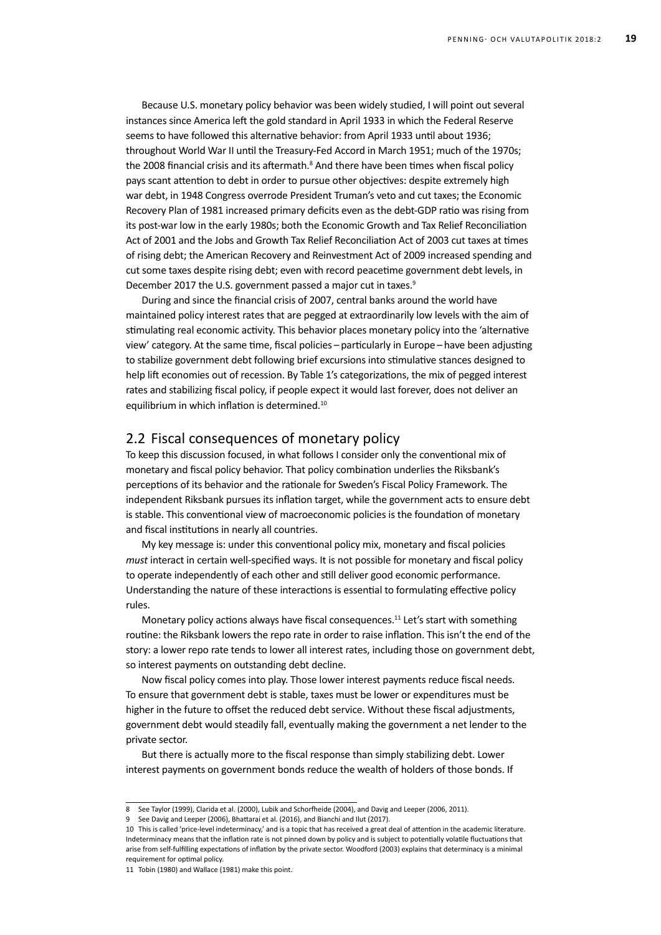Because U.S. monetary policy behavior was been widely studied, I will point out several instances since America left the gold standard in April 1933 in which the Federal Reserve seems to have followed this alternative behavior: from April 1933 until about 1936; throughout World War II until the Treasury-Fed Accord in March 1951; much of the 1970s; the 2008 financial crisis and its aftermath.<sup>8</sup> And there have been times when fiscal policy pays scant attention to debt in order to pursue other objectives: despite extremely high war debt, in 1948 Congress overrode President Truman's veto and cut taxes; the Economic Recovery Plan of 1981 increased primary deficits even as the debt-GDP ratio was rising from its post-war low in the early 1980s; both the Economic Growth and Tax Relief Reconciliation Act of 2001 and the Jobs and Growth Tax Relief Reconciliation Act of 2003 cut taxes at times of rising debt; the American Recovery and Reinvestment Act of 2009 increased spending and cut some taxes despite rising debt; even with record peacetime government debt levels, in December 2017 the U.S. government passed a major cut in taxes.<sup>9</sup>

During and since the financial crisis of 2007, central banks around the world have maintained policy interest rates that are pegged at extraordinarily low levels with the aim of stimulating real economic activity. This behavior places monetary policy into the 'alternative view' category. At the same time, fiscal policies – particularly in Europe – have been adjusting to stabilize government debt following brief excursions into stimulative stances designed to help lift economies out of recession. By Table 1's categorizations, the mix of pegged interest rates and stabilizing fiscal policy, if people expect it would last forever, does not deliver an equilibrium in which inflation is determined.10

#### 2.2 Fiscal consequences of monetary policy

To keep this discussion focused, in what follows I consider only the conventional mix of monetary and fiscal policy behavior. That policy combination underlies the Riksbank's perceptions of its behavior and the rationale for Sweden's Fiscal Policy Framework. The independent Riksbank pursues its inflation target, while the government acts to ensure debt is stable. This conventional view of macroeconomic policies is the foundation of monetary and fiscal institutions in nearly all countries.

My key message is: under this conventional policy mix, monetary and fiscal policies *must* interact in certain well-specified ways. It is not possible for monetary and fiscal policy to operate independently of each other and still deliver good economic performance. Understanding the nature of these interactions is essential to formulating effective policy rules.

Monetary policy actions always have fiscal consequences.<sup>11</sup> Let's start with something routine: the Riksbank lowers the repo rate in order to raise inflation. This isn't the end of the story: a lower repo rate tends to lower all interest rates, including those on government debt, so interest payments on outstanding debt decline.

Now fiscal policy comes into play. Those lower interest payments reduce fiscal needs. To ensure that government debt is stable, taxes must be lower or expenditures must be higher in the future to offset the reduced debt service. Without these fiscal adjustments, government debt would steadily fall, eventually making the government a net lender to the private sector.

But there is actually more to the fiscal response than simply stabilizing debt. Lower interest payments on government bonds reduce the wealth of holders of those bonds. If

<sup>8</sup> See Taylor (1999), Clarida et al. (2000), Lubik and Schorfheide (2004), and Davig and Leeper (2006, 2011).

<sup>9</sup> See Davig and Leeper (2006), Bhattarai et al. (2016), and Bianchi and Ilut (2017).

<sup>10</sup> This is called 'price-level indeterminacy,' and is a topic that has received a great deal of attention in the academic literature. Indeterminacy means that the inflation rate is not pinned down by policy and is subject to potentially volatile fluctuations that arise from self-fulfilling expectations of inflation by the private sector. Woodford (2003) explains that determinacy is a minimal requirement for optimal policy.

<sup>11</sup> Tobin (1980) and Wallace (1981) make this point.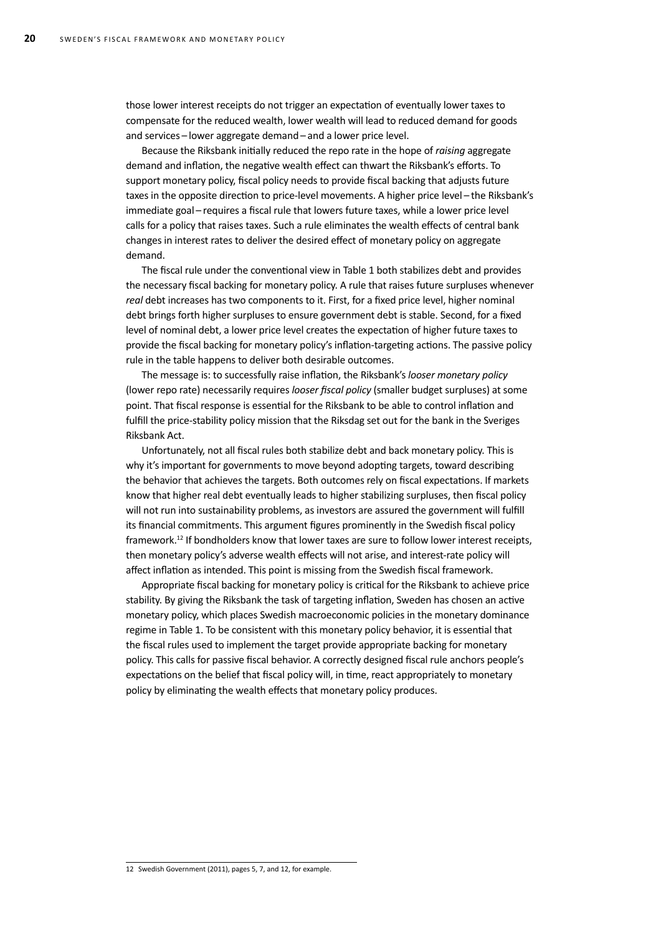those lower interest receipts do not trigger an expectation of eventually lower taxes to compensate for the reduced wealth, lower wealth will lead to reduced demand for goods and services – lower aggregate demand – and a lower price level.

Because the Riksbank initially reduced the repo rate in the hope of *raising* aggregate demand and inflation, the negative wealth effect can thwart the Riksbank's efforts. To support monetary policy, fiscal policy needs to provide fiscal backing that adjusts future taxes in the opposite direction to price-level movements. A higher price level – the Riksbank's immediate goal – requires a fiscal rule that lowers future taxes, while a lower price level calls for a policy that raises taxes. Such a rule eliminates the wealth effects of central bank changes in interest rates to deliver the desired effect of monetary policy on aggregate demand.

The fiscal rule under the conventional view in Table 1 both stabilizes debt and provides the necessary fiscal backing for monetary policy. A rule that raises future surpluses whenever *real* debt increases has two components to it. First, for a fixed price level, higher nominal debt brings forth higher surpluses to ensure government debt is stable. Second, for a fixed level of nominal debt, a lower price level creates the expectation of higher future taxes to provide the fiscal backing for monetary policy's inflation-targeting actions. The passive policy rule in the table happens to deliver both desirable outcomes.

The message is: to successfully raise inflation, the Riksbank's *looser monetary policy* (lower repo rate) necessarily requires *looser fiscal policy* (smaller budget surpluses) at some point. That fiscal response is essential for the Riksbank to be able to control inflation and fulfill the price-stability policy mission that the Riksdag set out for the bank in the Sveriges Riksbank Act.

Unfortunately, not all fiscal rules both stabilize debt and back monetary policy. This is why it's important for governments to move beyond adopting targets, toward describing the behavior that achieves the targets. Both outcomes rely on fiscal expectations. If markets know that higher real debt eventually leads to higher stabilizing surpluses, then fiscal policy will not run into sustainability problems, as investors are assured the government will fulfill its financial commitments. This argument figures prominently in the Swedish fiscal policy framework.<sup>12</sup> If bondholders know that lower taxes are sure to follow lower interest receipts, then monetary policy's adverse wealth effects will not arise, and interest-rate policy will affect inflation as intended. This point is missing from the Swedish fiscal framework.

Appropriate fiscal backing for monetary policy is critical for the Riksbank to achieve price stability. By giving the Riksbank the task of targeting inflation, Sweden has chosen an active monetary policy, which places Swedish macroeconomic policies in the monetary dominance regime in Table 1. To be consistent with this monetary policy behavior, it is essential that the fiscal rules used to implement the target provide appropriate backing for monetary policy. This calls for passive fiscal behavior. A correctly designed fiscal rule anchors people's expectations on the belief that fiscal policy will, in time, react appropriately to monetary policy by eliminating the wealth effects that monetary policy produces.

12 Swedish Government (2011), pages 5, 7, and 12, for example.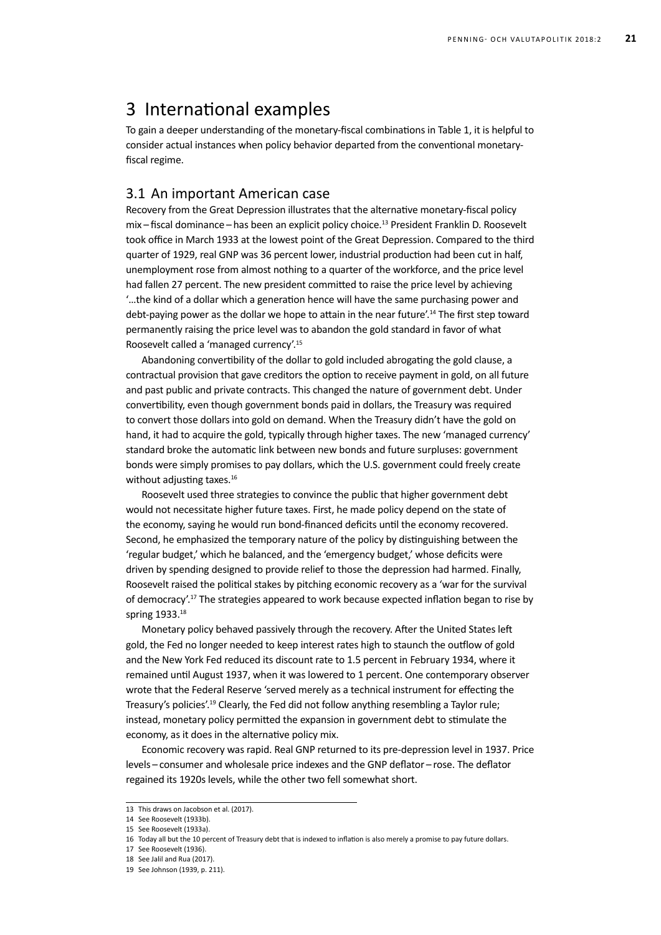### 3 International examples

To gain a deeper understanding of the monetary-fiscal combinations in Table 1, it is helpful to consider actual instances when policy behavior departed from the conventional monetaryfiscal regime.

### 3.1 An important American case

Recovery from the Great Depression illustrates that the alternative monetary-fiscal policy mix – fiscal dominance – has been an explicit policy choice.<sup>13</sup> President Franklin D. Roosevelt took office in March 1933 at the lowest point of the Great Depression. Compared to the third quarter of 1929, real GNP was 36 percent lower, industrial production had been cut in half, unemployment rose from almost nothing to a quarter of the workforce, and the price level had fallen 27 percent. The new president committed to raise the price level by achieving '…the kind of a dollar which a generation hence will have the same purchasing power and debt-paying power as the dollar we hope to attain in the near future'.14 The first step toward permanently raising the price level was to abandon the gold standard in favor of what Roosevelt called a 'managed currency'.15

Abandoning convertibility of the dollar to gold included abrogating the gold clause, a contractual provision that gave creditors the option to receive payment in gold, on all future and past public and private contracts. This changed the nature of government debt. Under convertibility, even though government bonds paid in dollars, the Treasury was required to convert those dollars into gold on demand. When the Treasury didn't have the gold on hand, it had to acquire the gold, typically through higher taxes. The new 'managed currency' standard broke the automatic link between new bonds and future surpluses: government bonds were simply promises to pay dollars, which the U.S. government could freely create without adjusting taxes.<sup>16</sup>

Roosevelt used three strategies to convince the public that higher government debt would not necessitate higher future taxes. First, he made policy depend on the state of the economy, saying he would run bond-financed deficits until the economy recovered. Second, he emphasized the temporary nature of the policy by distinguishing between the 'regular budget,' which he balanced, and the 'emergency budget,' whose deficits were driven by spending designed to provide relief to those the depression had harmed. Finally, Roosevelt raised the political stakes by pitching economic recovery as a 'war for the survival of democracy'.17 The strategies appeared to work because expected inflation began to rise by spring 1933.<sup>18</sup>

Monetary policy behaved passively through the recovery. After the United States left gold, the Fed no longer needed to keep interest rates high to staunch the outflow of gold and the New York Fed reduced its discount rate to 1.5 percent in February 1934, where it remained until August 1937, when it was lowered to 1 percent. One contemporary observer wrote that the Federal Reserve 'served merely as a technical instrument for effecting the Treasury's policies'.19 Clearly, the Fed did not follow anything resembling a Taylor rule; instead, monetary policy permitted the expansion in government debt to stimulate the economy, as it does in the alternative policy mix.

Economic recovery was rapid. Real GNP returned to its pre-depression level in 1937. Price levels – consumer and wholesale price indexes and the GNP deflator – rose. The deflator regained its 1920s levels, while the other two fell somewhat short.

<sup>13</sup> This draws on Jacobson et al. (2017).

<sup>14</sup> See Roosevelt (1933b).

<sup>15</sup> See Roosevelt (1933a).

<sup>16</sup> Today all but the 10 percent of Treasury debt that is indexed to inflation is also merely a promise to pay future dollars.

<sup>17</sup> See Roosevelt (1936).

<sup>18</sup> See Jalil and Rua (2017).

<sup>19</sup> See Johnson (1939, p. 211).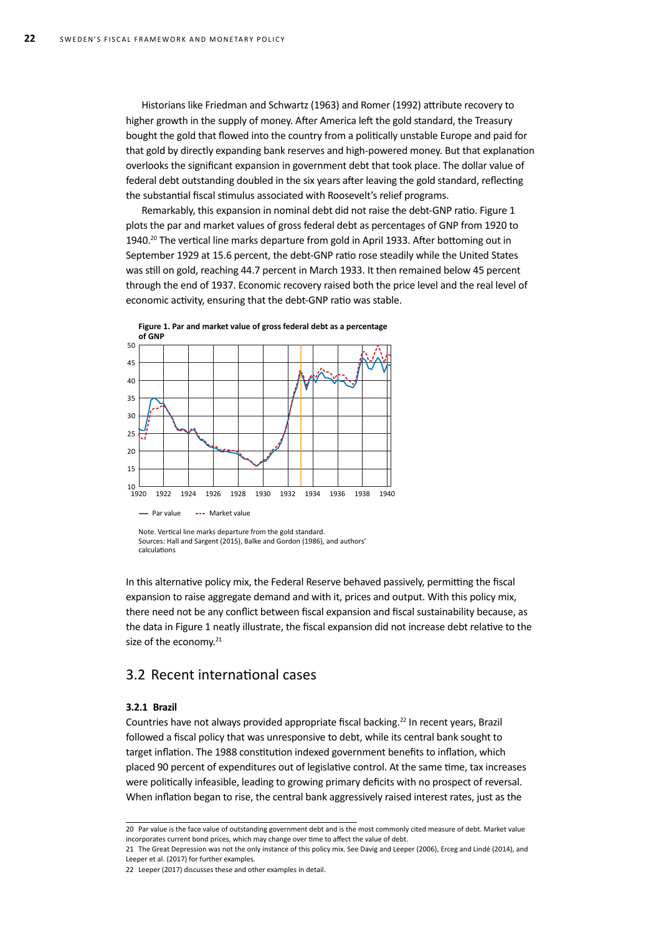Historians like Friedman and Schwartz (1963) and Romer (1992) attribute recovery to higher growth in the supply of money. After America left the gold standard, the Treasury bought the gold that flowed into the country from a politically unstable Europe and paid for that gold by directly expanding bank reserves and high-powered money. But that explanation overlooks the significant expansion in government debt that took place. The dollar value of federal debt outstanding doubled in the six years after leaving the gold standard, reflecting the substantial fiscal stimulus associated with Roosevelt's relief programs.

Remarkably, this expansion in nominal debt did not raise the debt-GNP ratio. Figure 1 plots the par and market values of gross federal debt as percentages of GNP from 1920 to 1940.20 The vertical line marks departure from gold in April 1933. After bottoming out in September 1929 at 15.6 percent, the debt-GNP ratio rose steadily while the United States was still on gold, reaching 44.7 percent in March 1933. It then remained below 45 percent through the end of 1937. Economic recovery raised both the price level and the real level of economic activity, ensuring that the debt-GNP ratio was stable.



Sources: Hall and Sargent (2015), Balke and Gordon (1986), and authors' calculations

In this alternative policy mix, the Federal Reserve behaved passively, permitting the fiscal expansion to raise aggregate demand and with it, prices and output. With this policy mix, there need not be any conflict between fiscal expansion and fiscal sustainability because, as the data in Figure 1 neatly illustrate, the fiscal expansion did not increase debt relative to the size of the economy.<sup>21</sup>

### 3.2 Recent international cases

#### **3.2.1 Brazil**

Countries have not always provided appropriate fiscal backing.<sup>22</sup> In recent years, Brazil followed a fiscal policy that was unresponsive to debt, while its central bank sought to target inflation. The 1988 constitution indexed government benefits to inflation, which placed 90 percent of expenditures out of legislative control. At the same time, tax increases were politically infeasible, leading to growing primary deficits with no prospect of reversal. When inflation began to rise, the central bank aggressively raised interest rates, just as the

<sup>20</sup> Par value is the face value of outstanding government debt and is the most commonly cited measure of debt. Market value incorporates current bond prices, which may change over time to affect the value of debt.

<sup>21</sup> The Great Depression was not the only instance of this policy mix. See Davig and Leeper (2006), Erceg and Lindé (2014), and Leeper et al. (2017) for further examples.

<sup>22</sup> Leeper (2017) discusses these and other examples in detail.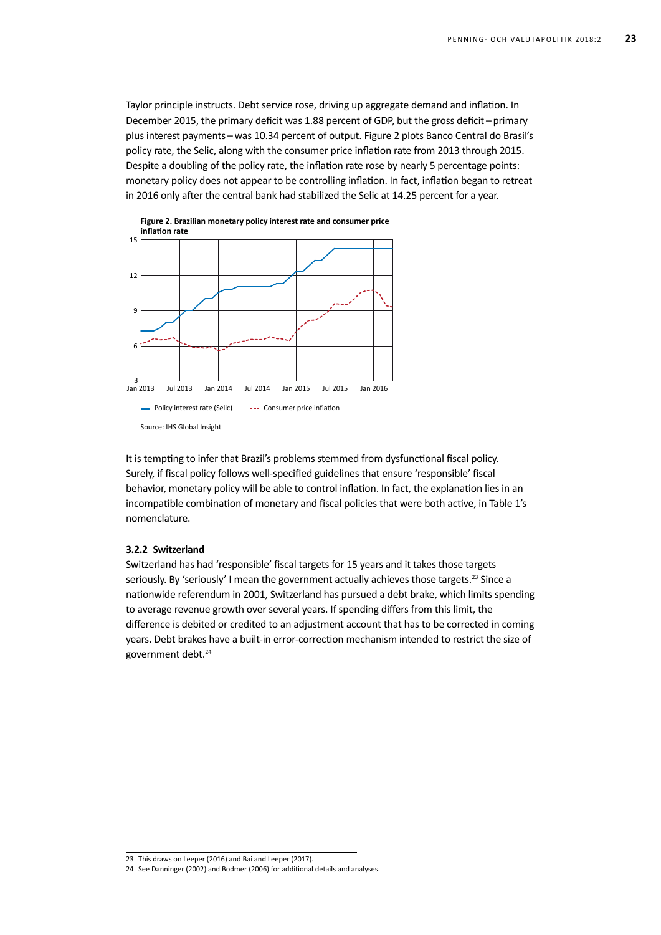Taylor principle instructs. Debt service rose, driving up aggregate demand and inflation. In December 2015, the primary deficit was 1.88 percent of GDP, but the gross deficit – primary plus interest payments – was 10.34 percent of output. Figure 2 plots Banco Central do Brasil's policy rate, the Selic, along with the consumer price inflation rate from 2013 through 2015. Despite a doubling of the policy rate, the inflation rate rose by nearly 5 percentage points: monetary policy does not appear to be controlling inflation. In fact, inflation began to retreat in 2016 only after the central bank had stabilized the Selic at 14.25 percent for a year.



It is tempting to infer that Brazil's problems stemmed from dysfunctional fiscal policy. Surely, if fiscal policy follows well-specified guidelines that ensure 'responsible' fiscal behavior, monetary policy will be able to control inflation. In fact, the explanation lies in an incompatible combination of monetary and fiscal policies that were both active, in Table 1's nomenclature.

#### **3.2.2 Switzerland**

Switzerland has had 'responsible' fiscal targets for 15 years and it takes those targets seriously. By 'seriously' I mean the government actually achieves those targets.<sup>23</sup> Since a nationwide referendum in 2001, Switzerland has pursued a debt brake, which limits spending to average revenue growth over several years. If spending differs from this limit, the difference is debited or credited to an adjustment account that has to be corrected in coming years. Debt brakes have a built-in error-correction mechanism intended to restrict the size of government debt.24

<sup>23</sup> This draws on Leeper (2016) and Bai and Leeper (2017).

<sup>24</sup> See Danninger (2002) and Bodmer (2006) for additional details and analyses.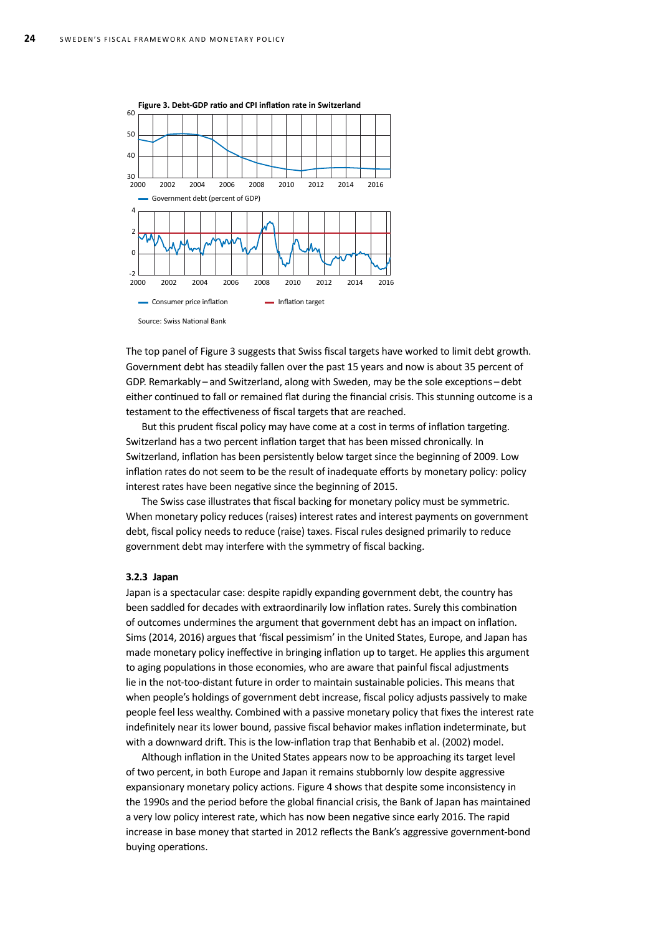

Source: Swiss National Bank

The top panel of Figure 3 suggests that Swiss fiscal targets have worked to limit debt growth. Government debt has steadily fallen over the past 15 years and now is about 35 percent of GDP. Remarkably – and Switzerland, along with Sweden, may be the sole exceptions – debt either continued to fall or remained flat during the financial crisis. This stunning outcome is a testament to the effectiveness of fiscal targets that are reached.

But this prudent fiscal policy may have come at a cost in terms of inflation targeting. Switzerland has a two percent inflation target that has been missed chronically. In Switzerland, inflation has been persistently below target since the beginning of 2009. Low inflation rates do not seem to be the result of inadequate efforts by monetary policy: policy interest rates have been negative since the beginning of 2015.

The Swiss case illustrates that fiscal backing for monetary policy must be symmetric. When monetary policy reduces (raises) interest rates and interest payments on government debt, fiscal policy needs to reduce (raise) taxes. Fiscal rules designed primarily to reduce government debt may interfere with the symmetry of fiscal backing.

#### **3.2.3 Japan**

Japan is a spectacular case: despite rapidly expanding government debt, the country has been saddled for decades with extraordinarily low inflation rates. Surely this combination of outcomes undermines the argument that government debt has an impact on inflation. Sims (2014, 2016) argues that 'fiscal pessimism' in the United States, Europe, and Japan has made monetary policy ineffective in bringing inflation up to target. He applies this argument to aging populations in those economies, who are aware that painful fiscal adjustments lie in the not-too-distant future in order to maintain sustainable policies. This means that when people's holdings of government debt increase, fiscal policy adjusts passively to make people feel less wealthy. Combined with a passive monetary policy that fixes the interest rate indefinitely near its lower bound, passive fiscal behavior makes inflation indeterminate, but with a downward drift. This is the low-inflation trap that Benhabib et al. (2002) model.

Although inflation in the United States appears now to be approaching its target level of two percent, in both Europe and Japan it remains stubbornly low despite aggressive expansionary monetary policy actions. Figure 4 shows that despite some inconsistency in the 1990s and the period before the global financial crisis, the Bank of Japan has maintained a very low policy interest rate, which has now been negative since early 2016. The rapid increase in base money that started in 2012 reflects the Bank's aggressive government-bond buying operations.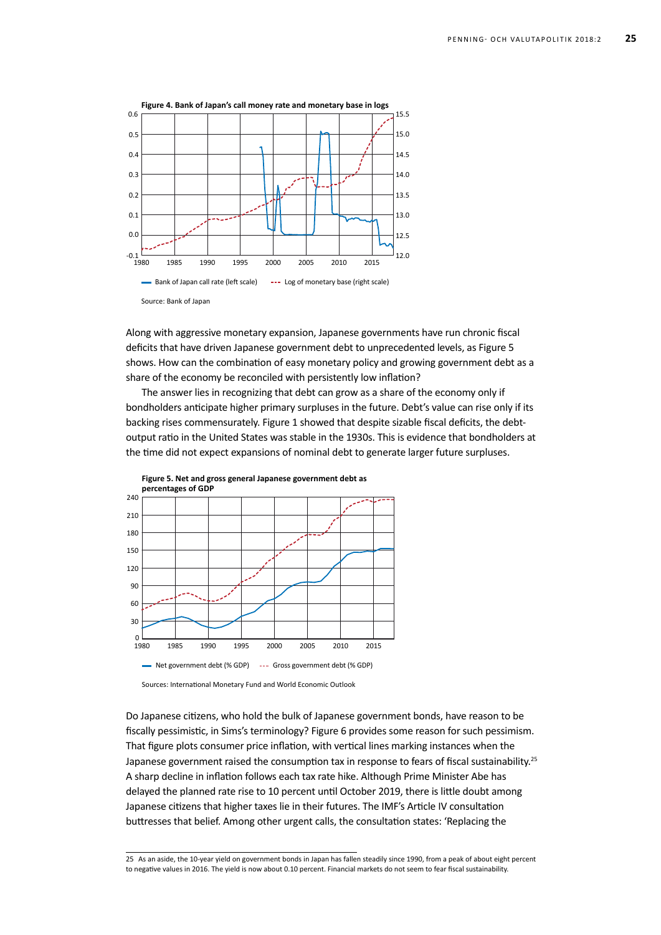

Along with aggressive monetary expansion, Japanese governments have run chronic fiscal deficits that have driven Japanese government debt to unprecedented levels, as Figure 5 shows. How can the combination of easy monetary policy and growing government debt as a share of the economy be reconciled with persistently low inflation?

The answer lies in recognizing that debt can grow as a share of the economy only if bondholders anticipate higher primary surpluses in the future. Debt's value can rise only if its backing rises commensurately. Figure 1 showed that despite sizable fiscal deficits, the debtoutput ratio in the United States was stable in the 1930s. This is evidence that bondholders at the time did not expect expansions of nominal debt to generate larger future surpluses.



Sources: International Monetary Fund and World Economic Outlook

Do Japanese citizens, who hold the bulk of Japanese government bonds, have reason to be fiscally pessimistic, in Sims's terminology? Figure 6 provides some reason for such pessimism. That figure plots consumer price inflation, with vertical lines marking instances when the Japanese government raised the consumption tax in response to fears of fiscal sustainability.<sup>25</sup> A sharp decline in inflation follows each tax rate hike. Although Prime Minister Abe has delayed the planned rate rise to 10 percent until October 2019, there is little doubt among Japanese citizens that higher taxes lie in their futures. The IMF's Article IV consultation buttresses that belief. Among other urgent calls, the consultation states: 'Replacing the

<sup>25</sup> As an aside, the 10-year yield on government bonds in Japan has fallen steadily since 1990, from a peak of about eight percent to negative values in 2016. The yield is now about 0.10 percent. Financial markets do not seem to fear fiscal sustainability.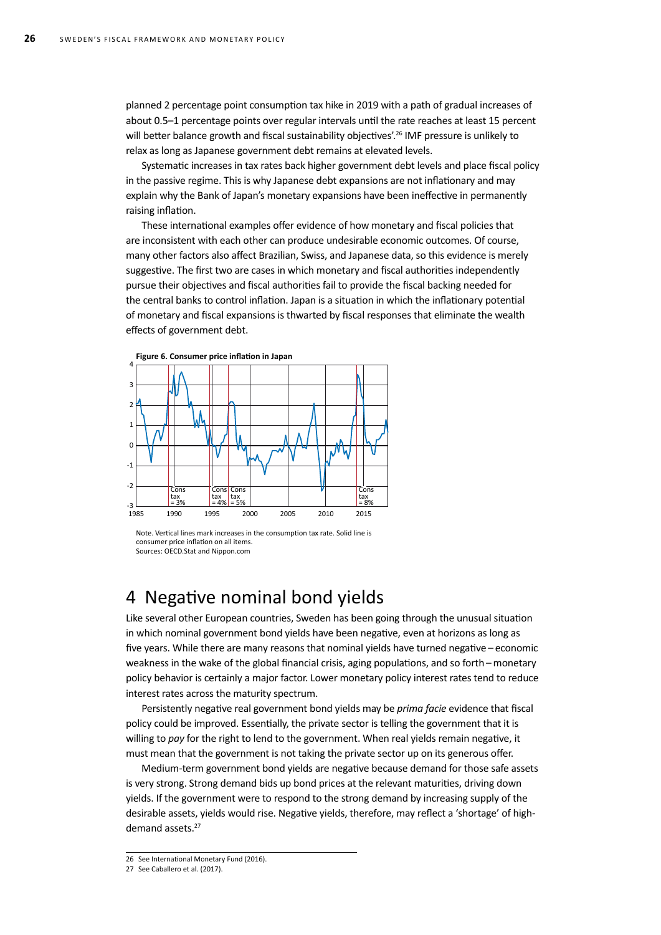planned 2 percentage point consumption tax hike in 2019 with a path of gradual increases of about 0.5–1 percentage points over regular intervals until the rate reaches at least 15 percent will better balance growth and fiscal sustainability objectives'.<sup>26</sup> IMF pressure is unlikely to relax as long as Japanese government debt remains at elevated levels.

Systematic increases in tax rates back higher government debt levels and place fiscal policy in the passive regime. This is why Japanese debt expansions are not inflationary and may explain why the Bank of Japan's monetary expansions have been ineffective in permanently raising inflation.

These international examples offer evidence of how monetary and fiscal policies that are inconsistent with each other can produce undesirable economic outcomes. Of course, many other factors also affect Brazilian, Swiss, and Japanese data, so this evidence is merely suggestive. The first two are cases in which monetary and fiscal authorities independently pursue their objectives and fiscal authorities fail to provide the fiscal backing needed for the central banks to control inflation. Japan is a situation in which the inflationary potential of monetary and fiscal expansions is thwarted by fiscal responses that eliminate the wealth effects of government debt.



Note. Vertical lines mark increases in the consumption tax rate. Solid line is consumer price inflation on all items. Sources: OECD.Stat and Nippon.com

# 4 Negative nominal bond yields

Like several other European countries, Sweden has been going through the unusual situation in which nominal government bond yields have been negative, even at horizons as long as five years. While there are many reasons that nominal yields have turned negative – economic weakness in the wake of the global financial crisis, aging populations, and so forth – monetary policy behavior is certainly a major factor. Lower monetary policy interest rates tend to reduce interest rates across the maturity spectrum.

Persistently negative real government bond yields may be *prima facie* evidence that fiscal policy could be improved. Essentially, the private sector is telling the government that it is willing to *pay* for the right to lend to the government. When real yields remain negative, it must mean that the government is not taking the private sector up on its generous offer.

Medium-term government bond yields are negative because demand for those safe assets is very strong. Strong demand bids up bond prices at the relevant maturities, driving down yields. If the government were to respond to the strong demand by increasing supply of the desirable assets, yields would rise. Negative yields, therefore, may reflect a 'shortage' of highdemand assets.<sup>27</sup>

<sup>26</sup> See International Monetary Fund (2016).

<sup>27</sup> See Caballero et al. (2017).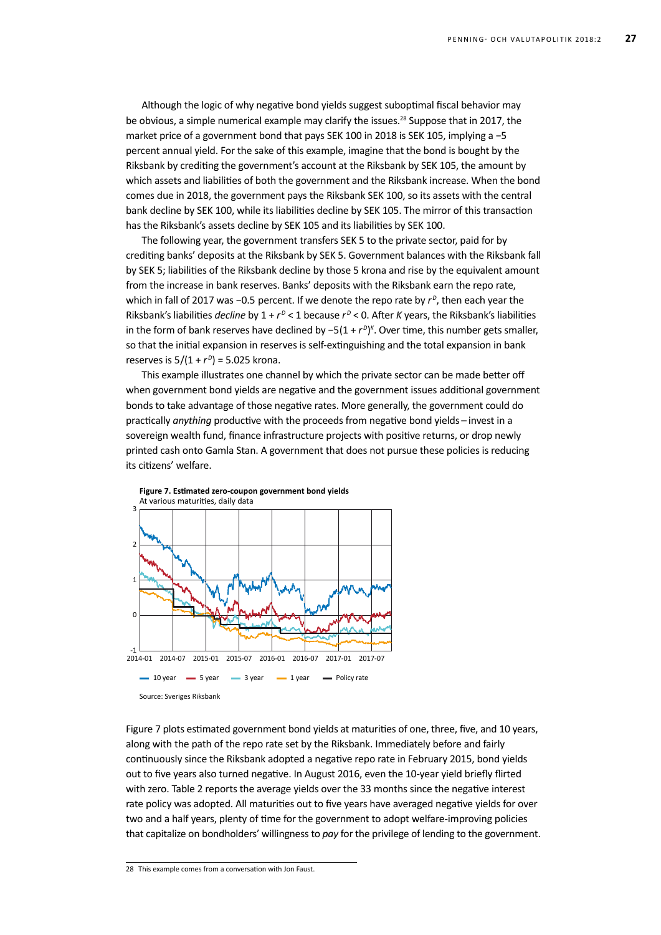Although the logic of why negative bond yields suggest suboptimal fiscal behavior may be obvious, a simple numerical example may clarify the issues.<sup>28</sup> Suppose that in 2017, the market price of a government bond that pays SEK 100 in 2018 is SEK 105, implying a −5 percent annual yield. For the sake of this example, imagine that the bond is bought by the Riksbank by crediting the government's account at the Riksbank by SEK 105, the amount by which assets and liabilities of both the government and the Riksbank increase. When the bond comes due in 2018, the government pays the Riksbank SEK 100, so its assets with the central bank decline by SEK 100, while its liabilities decline by SEK 105. The mirror of this transaction has the Riksbank's assets decline by SEK 105 and its liabilities by SEK 100.

The following year, the government transfers SEK 5 to the private sector, paid for by crediting banks' deposits at the Riksbank by SEK 5. Government balances with the Riksbank fall by SEK 5; liabilities of the Riksbank decline by those 5 krona and rise by the equivalent amount from the increase in bank reserves. Banks' deposits with the Riksbank earn the repo rate, which in fall of 2017 was −0.5 percent. If we denote the repo rate by  $r^p$ , then each year the Riksbank's liabilities *decline* by 1 +  $r^D$  < 1 because  $r^D$  < 0. After *K* years, the Riksbank's liabilities in the form of bank reserves have declined by −5(1 + *r <sup>D</sup>*) *K* . Over time, this number gets smaller, so that the initial expansion in reserves is self-extinguishing and the total expansion in bank reserves is  $5/(1 + r^D) = 5.025$  krona.

This example illustrates one channel by which the private sector can be made better off when government bond yields are negative and the government issues additional government bonds to take advantage of those negative rates. More generally, the government could do practically *anything* productive with the proceeds from negative bond yields – invest in a sovereign wealth fund, finance infrastructure projects with positive returns, or drop newly printed cash onto Gamla Stan. A government that does not pursue these policies is reducing its citizens' welfare.





**Figure 7. Estimated zero-coupon government bond yields**

28 This example comes from a conversation with Jon Faust.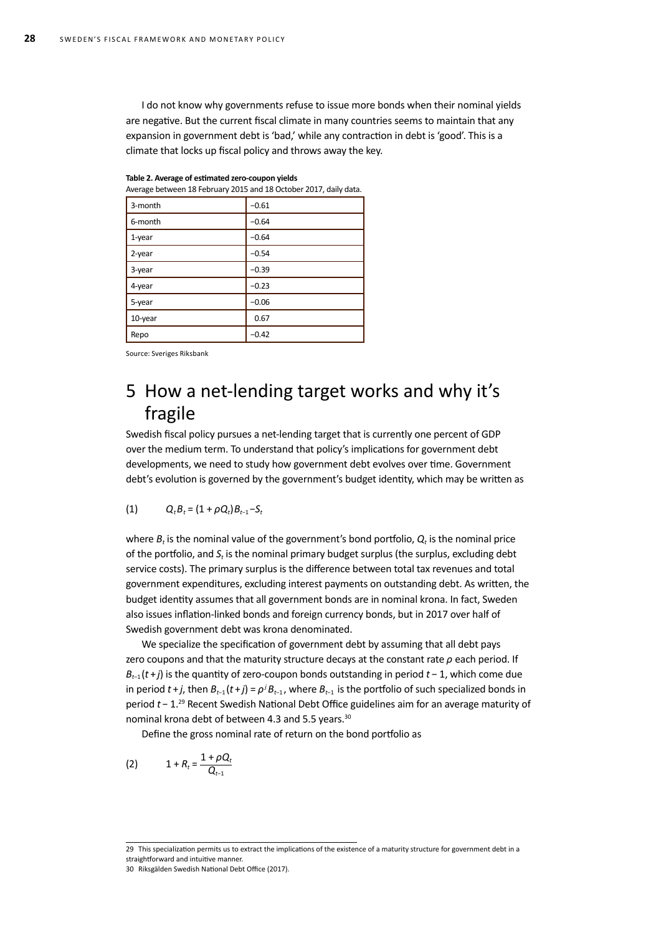I do not know why governments refuse to issue more bonds when their nominal yields are negative. But the current fiscal climate in many countries seems to maintain that any expansion in government debt is 'bad,' while any contraction in debt is 'good'. This is a climate that locks up fiscal policy and throws away the key.

| Average between 18 February 2015 and 18 October 2017, daily data. |         |  |  |
|-------------------------------------------------------------------|---------|--|--|
| 3-month                                                           | $-0.61$ |  |  |
| 6-month                                                           | $-0.64$ |  |  |
| $1$ -year                                                         | $-0.64$ |  |  |
| 2-year                                                            | $-0.54$ |  |  |
| 3-year                                                            | $-0.39$ |  |  |
| 4-year                                                            | $-0.23$ |  |  |
| 5-year                                                            | $-0.06$ |  |  |
| 10-year                                                           | 0.67    |  |  |
| Repo                                                              | $-0.42$ |  |  |

|  |  |  | Table 2. Average of estimated zero-coupon yields |  |
|--|--|--|--------------------------------------------------|--|
|--|--|--|--------------------------------------------------|--|

Source: Sveriges Riksbank

# 5 How a net-lending target works and why it's fragile

Swedish fiscal policy pursues a net-lending target that is currently one percent of GDP over the medium term. To understand that policy's implications for government debt developments, we need to study how government debt evolves over time. Government debt's evolution is governed by the government's budget identity, which may be written as

(1) 
$$
Q_t B_t = (1 + \rho Q_t) B_{t-1} - S_t
$$

where  $B_t$  is the nominal value of the government's bond portfolio,  $Q_t$  is the nominal price of the portfolio, and *St* is the nominal primary budget surplus (the surplus, excluding debt service costs). The primary surplus is the difference between total tax revenues and total government expenditures, excluding interest payments on outstanding debt. As written, the budget identity assumes that all government bonds are in nominal krona. In fact, Sweden also issues inflation-linked bonds and foreign currency bonds, but in 2017 over half of Swedish government debt was krona denominated.

We specialize the specification of government debt by assuming that all debt pays zero coupons and that the maturity structure decays at the constant rate *ρ* each period. If *B<sub>t−1</sub>*(*t* + *j*) is the quantity of zero-coupon bonds outstanding in period *t* − 1, which come due in period  $t + j$ , then  $B_{t-1}(t + j) = \rho^{j} B_{t-1}$ , where  $B_{t-1}$  is the portfolio of such specialized bonds in period *t* − 1.29 Recent Swedish National Debt Office guidelines aim for an average maturity of nominal krona debt of between 4.3 and 5.5 years.<sup>30</sup>

Define the gross nominal rate of return on the bond portfolio as

(2) 
$$
1 + R_t = \frac{1 + \rho Q_t}{Q_{t-1}}
$$

<sup>29</sup> This specialization permits us to extract the implications of the existence of a maturity structure for government debt in a straightforward and intuitive manner.

<sup>30</sup> Riksgälden Swedish National Debt Office (2017).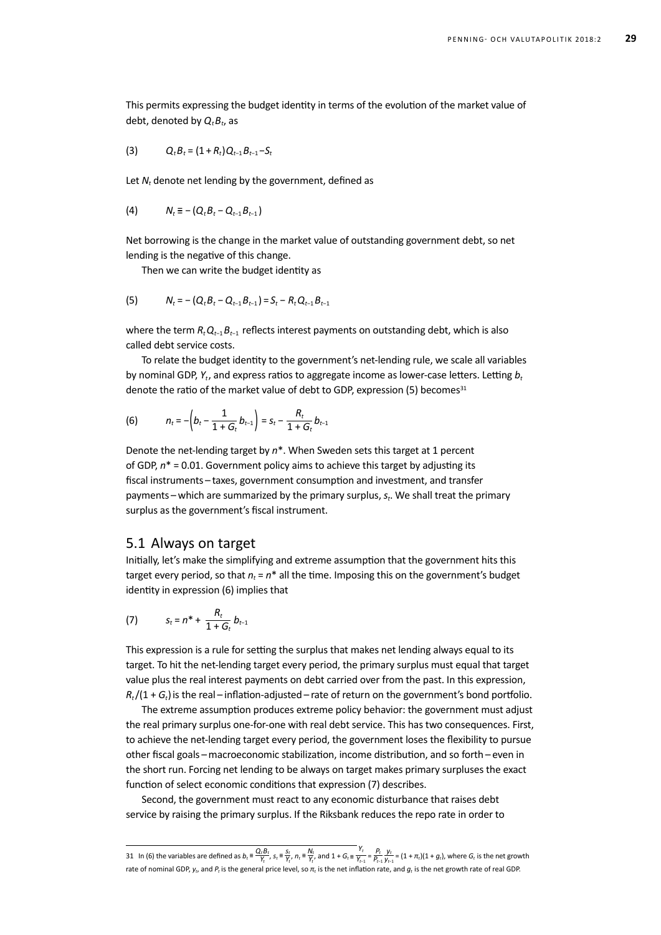This permits expressing the budget identity in terms of the evolution of the market value of debt, denoted by  $Q_t B_t$ , as

$$
(3) \hspace{1cm} Q_t B_t = (1+R_t) Q_{t-1} B_{t-1} - S_t
$$

Let *N<sub>t</sub>* denote net lending by the government, defined as

(4) 
$$
N_t \equiv - (Q_t B_t - Q_{t-1} B_{t-1})
$$

Net borrowing is the change in the market value of outstanding government debt, so net lending is the negative of this change.

Then we can write the budget identity as

(5) 
$$
N_t = - (Q_t B_t - Q_{t-1} B_{t-1}) = S_t - R_t Q_{t-1} B_{t-1}
$$

where the term *R<sub>t</sub> Q<sub>t−1</sub> B<sub>t−1</sub>* reflects interest payments on outstanding debt, which is also called debt service costs.

To relate the budget identity to the government's net-lending rule, we scale all variables by nominal GDP, *Yt*, and express ratios to aggregate income as lower-case letters. Letting *bt*  denote the ratio of the market value of debt to GDP, expression (5) becomes $31$ 

(6) 
$$
n_t = -\left(b_t - \frac{1}{1+G_t}b_{t-1}\right) = s_t - \frac{R_t}{1+G_t}b_{t-1}
$$

Denote the net-lending target by *n*\*. When Sweden sets this target at 1 percent of GDP, *n*\* = 0.01. Government policy aims to achieve this target by adjusting its fiscal instruments – taxes, government consumption and investment, and transfer payments – which are summarized by the primary surplus,  $s_t$ . We shall treat the primary surplus as the government's fiscal instrument.

#### 5.1 Always on target

Initially, let's make the simplifying and extreme assumption that the government hits this target every period, so that  $n_t = n^*$  all the time. Imposing this on the government's budget identity in expression (6) implies that

(7) 
$$
S_t = n^* + \frac{R_t}{1 + G_t} b_{t-1}
$$

This expression is a rule for setting the surplus that makes net lending always equal to its target. To hit the net-lending target every period, the primary surplus must equal that target value plus the real interest payments on debt carried over from the past. In this expression,  $R_t/(1 + G_t)$  is the real – inflation-adjusted – rate of return on the government's bond portfolio.

The extreme assumption produces extreme policy behavior: the government must adjust the real primary surplus one-for-one with real debt service. This has two consequences. First, to achieve the net-lending target every period, the government loses the flexibility to pursue other fiscal goals – macroeconomic stabilization, income distribution, and so forth – even in the short run. Forcing net lending to be always on target makes primary surpluses the exact function of select economic conditions that expression (7) describes.

Second, the government must react to any economic disturbance that raises debt service by raising the primary surplus. If the Riksbank reduces the repo rate in order to

<sup>31</sup> In (6) the variables are defined as  $b_i \equiv \frac{Q_i B_t}{Y_t}$ ,  $s_i \equiv \frac{S_t}{Y_{t'}}$ ,  $n_i \equiv \frac{N_t}{Y_{t'}}$  and  $1 + G_i \equiv \frac{Y_t}{Y_{t-1}} = \frac{P_t}{P_{t-1}} \frac{y_t}{y_{t-1}} = (1 + \pi_t)(1 + g_t)$ , where  $G_t$  is the net growth rate of nominal GDP,  $y_t$ , and  $P_t$  is the general price level, so  $\pi_t$  is the net inflation rate, and  $g_t$  is the net growth rate of real GDP.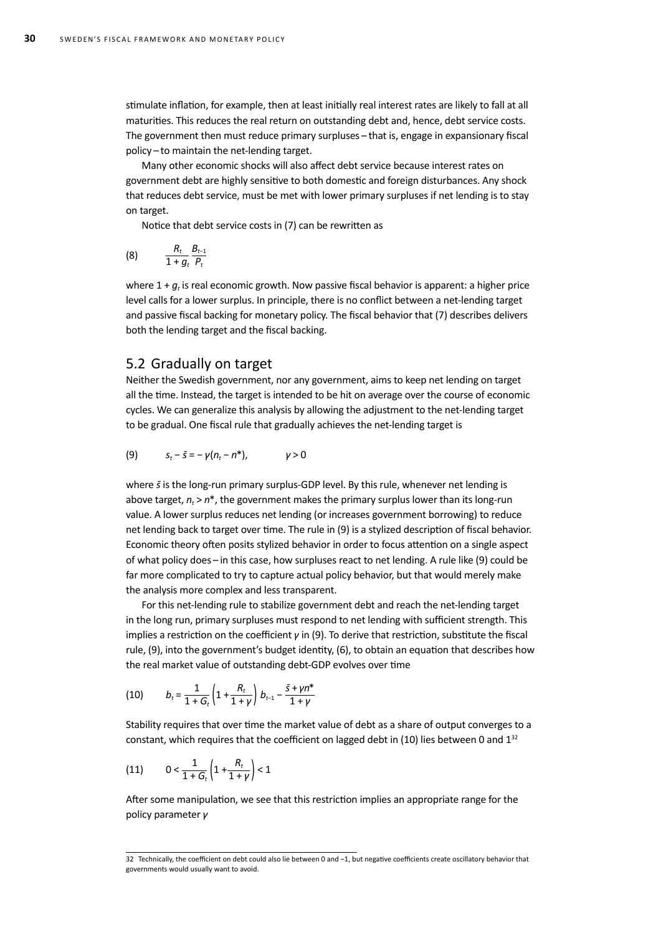stimulate inflation, for example, then at least initially real interest rates are likely to fall at all maturities. This reduces the real return on outstanding debt and, hence, debt service costs. The government then must reduce primary surpluses – that is, engage in expansionary fiscal policy – to maintain the net-lending target.

Many other economic shocks will also affect debt service because interest rates on government debt are highly sensitive to both domestic and foreign disturbances. Any shock that reduces debt service, must be met with lower primary surpluses if net lending is to stay on target.

Notice that debt service costs in (7) can be rewritten as

$$
(8) \qquad \frac{R_t}{1+g_t}\frac{B_{t-1}}{P_t}
$$

where  $1 + g_t$  is real economic growth. Now passive fiscal behavior is apparent: a higher price level calls for a lower surplus. In principle, there is no conflict between a net-lending target and passive fiscal backing for monetary policy. The fiscal behavior that (7) describes delivers both the lending target and the fiscal backing.

#### 5.2 Gradually on target

Neither the Swedish government, nor any government, aims to keep net lending on target all the time. Instead, the target is intended to be hit on average over the course of economic cycles. We can generalize this analysis by allowing the adjustment to the net-lending target to be gradual. One fiscal rule that gradually achieves the net-lending target is

(9) 
$$
s_t - \bar{s} = -\gamma (n_t - n^*),
$$
  $\gamma > 0$ 

where  $\bar{s}$  is the long-run primary surplus-GDP level. By this rule, whenever net lending is above target,  $n_t > n^*$ , the government makes the primary surplus lower than its long-run value. A lower surplus reduces net lending (or increases government borrowing) to reduce net lending back to target over time. The rule in (9) is a stylized description of fiscal behavior. Economic theory often posits stylized behavior in order to focus attention on a single aspect of what policy does – in this case, how surpluses react to net lending. A rule like (9) could be far more complicated to try to capture actual policy behavior, but that would merely make the analysis more complex and less transparent.

For this net-lending rule to stabilize government debt and reach the net-lending target in the long run, primary surpluses must respond to net lending with sufficient strength. This implies a restriction on the coefficient *γ* in (9). To derive that restriction, substitute the fiscal rule, (9), into the government's budget identity, (6), to obtain an equation that describes how the real market value of outstanding debt-GDP evolves over time

(10) 
$$
b_t = \frac{1}{1+G_t} \left( 1 + \frac{R_t}{1+\gamma} \right) b_{t-1} - \frac{\bar{s} + \gamma n^*}{1+\gamma}
$$

Stability requires that over time the market value of debt as a share of output converges to a constant, which requires that the coefficient on lagged debt in (10) lies between 0 and  $1^{32}$ 

(11) 
$$
0 < \frac{1}{1+G_t} \left( 1 + \frac{R_t}{1+\gamma} \right) < 1
$$

After some manipulation, we see that this restriction implies an appropriate range for the policy parameter *γ*

<sup>32</sup> Technically, the coefficient on debt could also lie between 0 and −1, but negative coefficients create oscillatory behavior that governments would usually want to avoid.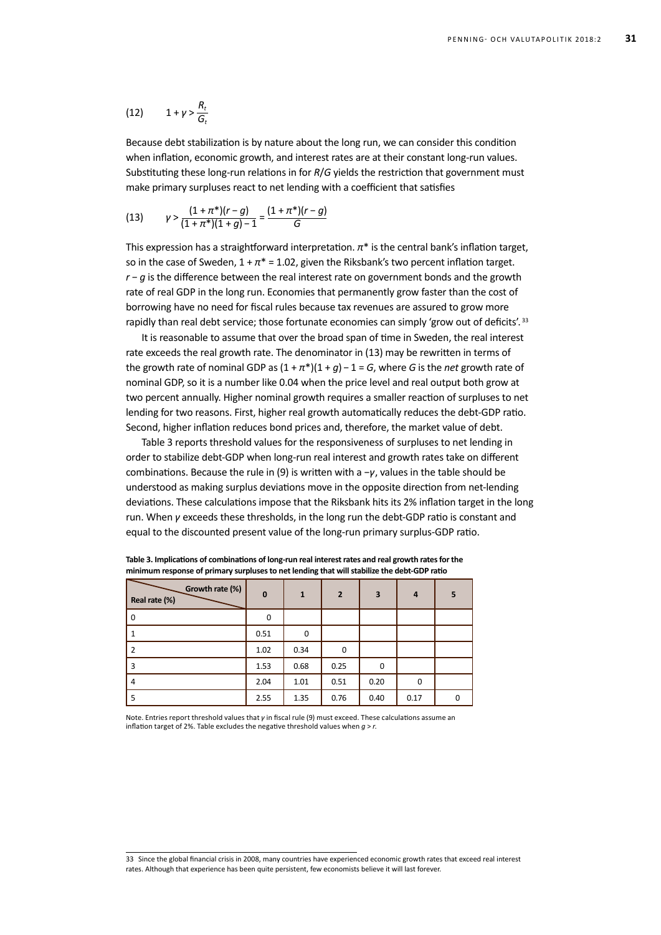$$
(12) \qquad 1+\gamma>\frac{R_t}{G_t}
$$

Because debt stabilization is by nature about the long run, we can consider this condition when inflation, economic growth, and interest rates are at their constant long-run values. Substituting these long-run relations in for *R*/*G* yields the restriction that government must make primary surpluses react to net lending with a coefficient that satisfies

(13) 
$$
\gamma > \frac{(1+\pi^*)(r-g)}{(1+\pi^*)(1+g)-1} = \frac{(1+\pi^*)(r-g)}{G}
$$

This expression has a straightforward interpretation. *π*\* is the central bank's inflation target, so in the case of Sweden,  $1 + \pi^* = 1.02$ , given the Riksbank's two percent inflation target. *r* − *g* is the difference between the real interest rate on government bonds and the growth rate of real GDP in the long run. Economies that permanently grow faster than the cost of borrowing have no need for fiscal rules because tax revenues are assured to grow more rapidly than real debt service; those fortunate economies can simply 'grow out of deficits'.<sup>33</sup>

It is reasonable to assume that over the broad span of time in Sweden, the real interest rate exceeds the real growth rate. The denominator in (13) may be rewritten in terms of the growth rate of nominal GDP as  $(1 + \pi^*)(1 + g) - 1 = G$ , where *G* is the *net* growth rate of nominal GDP, so it is a number like 0.04 when the price level and real output both grow at two percent annually. Higher nominal growth requires a smaller reaction of surpluses to net lending for two reasons. First, higher real growth automatically reduces the debt-GDP ratio. Second, higher inflation reduces bond prices and, therefore, the market value of debt.

Table 3 reports threshold values for the responsiveness of surpluses to net lending in order to stabilize debt-GDP when long-run real interest and growth rates take on different combinations. Because the rule in (9) is written with a −*γ*, values in the table should be understood as making surplus deviations move in the opposite direction from net-lending deviations. These calculations impose that the Riksbank hits its 2% inflation target in the long run. When *γ* exceeds these thresholds, in the long run the debt-GDP ratio is constant and equal to the discounted present value of the long-run primary surplus-GDP ratio.

| --<br>Growth rate (%)<br>Real rate (%) | $\mathbf 0$ | $\mathbf{1}$ | $\overline{2}$ | $\overline{\mathbf{3}}$ | $\overline{a}$ | 5            |
|----------------------------------------|-------------|--------------|----------------|-------------------------|----------------|--------------|
| 0                                      | 0           |              |                |                         |                |              |
|                                        | 0.51        | $\Omega$     |                |                         |                |              |
| 2                                      | 1.02        | 0.34         | 0              |                         |                |              |
| 3                                      | 1.53        | 0.68         | 0.25           | 0                       |                |              |
| 4                                      | 2.04        | 1.01         | 0.51           | 0.20                    | 0              |              |
| 5                                      | 2.55        | 1.35         | 0.76           | 0.40                    | 0.17           | <sup>0</sup> |

**Table 3. Implications of combinations of long-run real interest rates and real growth rates for the minimum response of primary surpluses to net lending that will stabilize the debt-GDP ratio**

Note. Entries report threshold values that *γ* in fiscal rule (9) must exceed. These calculations assume an inflation target of 2%. Table excludes the negative threshold values when *g* > *r*.

<sup>33</sup> Since the global financial crisis in 2008, many countries have experienced economic growth rates that exceed real interest rates. Although that experience has been quite persistent, few economists believe it will last forever.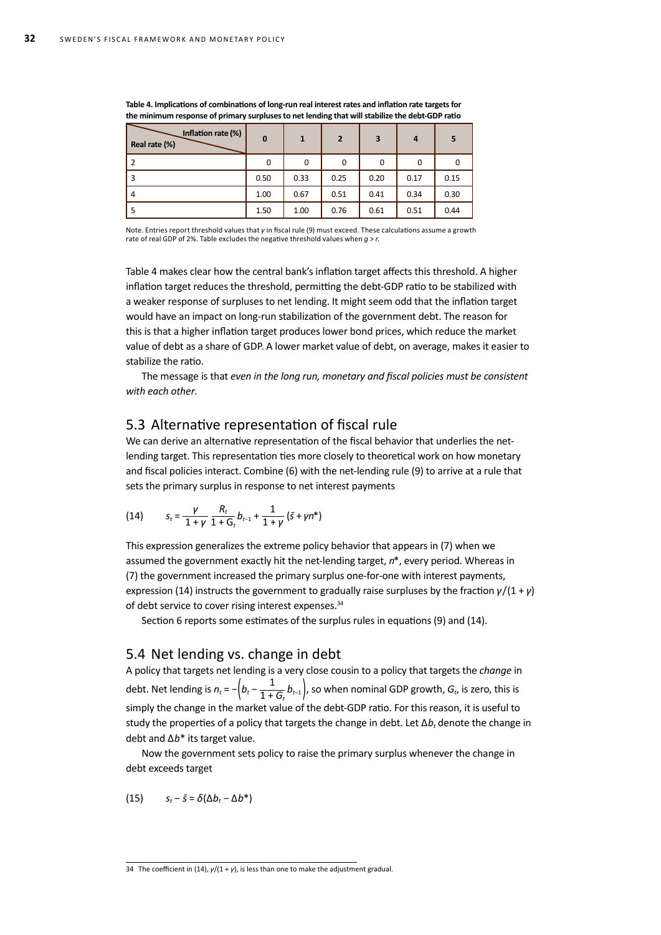| Inflation rate (%)<br>Real rate (%) | $\mathbf{0}$ | 1    | $\overline{2}$ | 3    | $\overline{a}$ |      |
|-------------------------------------|--------------|------|----------------|------|----------------|------|
| 2                                   | 0            | 0    | 0              | 0    | $\mathbf 0$    |      |
| 3                                   | 0.50         | 0.33 | 0.25           | 0.20 | 0.17           | 0.15 |
| $\overline{4}$                      | 1.00         | 0.67 | 0.51           | 0.41 | 0.34           | 0.30 |
|                                     | 1.50         | 1.00 | 0.76           | 0.61 | 0.51           | 0.44 |

**Table 4. Implications of combinations of long-run real interest rates and inflation rate targets for the minimum response of primary surpluses to net lending that will stabilize the debt-GDP ratio**

Note. Entries report threshold values that *γ* in fiscal rule (9) must exceed. These calculations assume a growth rate of real GDP of 2%. Table excludes the negative threshold values when *g* > *r*.

Table 4 makes clear how the central bank's inflation target affects this threshold. A higher inflation target reduces the threshold, permitting the debt-GDP ratio to be stabilized with a weaker response of surpluses to net lending. It might seem odd that the inflation target would have an impact on long-run stabilization of the government debt. The reason for this is that a higher inflation target produces lower bond prices, which reduce the market value of debt as a share of GDP. A lower market value of debt, on average, makes it easier to stabilize the ratio.

The message is that *even in the long run, monetary and fiscal policies must be consistent with each other*.

### 5.3 Alternative representation of fiscal rule

We can derive an alternative representation of the fiscal behavior that underlies the netlending target. This representation ties more closely to theoretical work on how monetary and fiscal policies interact. Combine (6) with the net-lending rule (9) to arrive at a rule that sets the primary surplus in response to net interest payments

(14) 
$$
S_t = \frac{\gamma}{1+\gamma} \frac{R_t}{1+G_t} b_{t-1} + \frac{1}{1+\gamma} (\bar{s} + \gamma n^*)
$$

This expression generalizes the extreme policy behavior that appears in (7) when we assumed the government exactly hit the net-lending target, *n*\*, every period. Whereas in (7) the government increased the primary surplus one-for-one with interest payments, expression (14) instructs the government to gradually raise surpluses by the fraction *γ*/(1 + *γ*) of debt service to cover rising interest expenses.<sup>34</sup>

Section 6 reports some estimates of the surplus rules in equations (9) and (14).

### 5.4 Net lending vs. change in debt

A policy that targets net lending is a very close cousin to a policy that targets the *change* in debt. Net lending is  $n_t = -\left(b_t - \frac{1}{1+G_t}b_{t-1}\right)$ , so when nominal GDP growth,  $G_t$ , is zero, this is simply the change in the market value of the debt-GDP ratio. For this reason, it is useful to study the properties of a policy that targets the change in debt. Let ∆*b<sub>t</sub>* denote the change in debt and ∆*b*\* its target value.

Now the government sets policy to raise the primary surplus whenever the change in debt exceeds target

(15)  $s_t - \bar{s} = \delta(\Delta b_t - \Delta b^*)$ 

<sup>34</sup> The coefficient in (14), *γ*/(1 + *γ*), is less than one to make the adjustment gradual.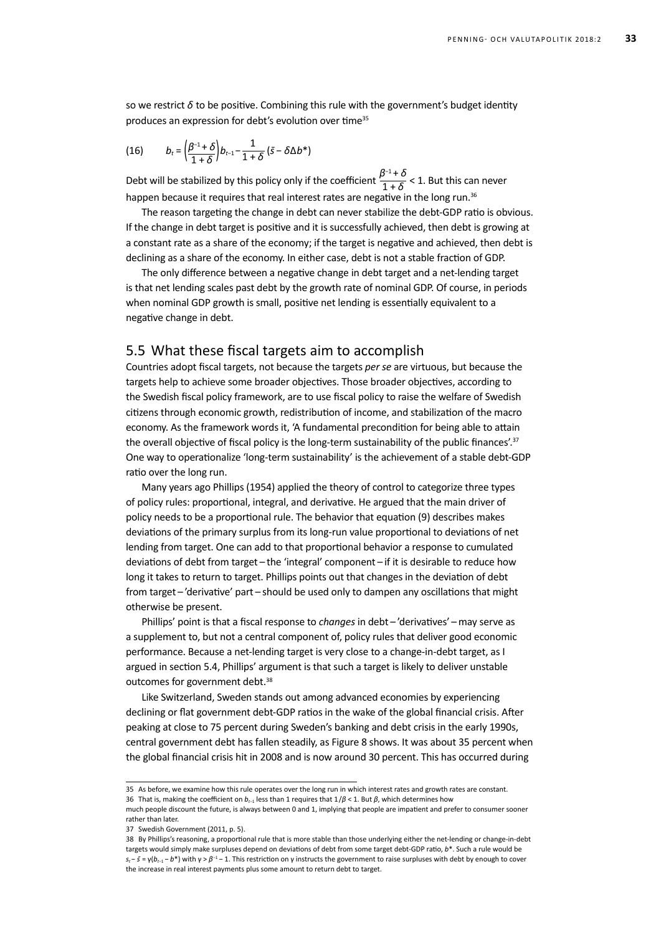so we restrict  $\delta$  to be positive. Combining this rule with the government's budget identity produces an expression for debt's evolution over time<sup>35</sup>

(16) 
$$
b_t = \left(\frac{\beta^{-1} + \delta}{1 + \delta}\right) b_{t-1} - \frac{1}{1 + \delta} (\bar{s} - \delta \Delta b^*)
$$

Debt will be stabilized by this policy only if the coefficient  $\frac{\beta^{-1} + \delta}{1 + \delta} < 1$ . But this can never happen because it requires that real interest rates are negative in the long run.<sup>36</sup>

The reason targeting the change in debt can never stabilize the debt-GDP ratio is obvious. If the change in debt target is positive and it is successfully achieved, then debt is growing at a constant rate as a share of the economy; if the target is negative and achieved, then debt is declining as a share of the economy. In either case, debt is not a stable fraction of GDP.

The only difference between a negative change in debt target and a net-lending target is that net lending scales past debt by the growth rate of nominal GDP. Of course, in periods when nominal GDP growth is small, positive net lending is essentially equivalent to a negative change in debt.

#### 5.5 What these fiscal targets aim to accomplish

Countries adopt fiscal targets, not because the targets *per se* are virtuous, but because the targets help to achieve some broader objectives. Those broader objectives, according to the Swedish fiscal policy framework, are to use fiscal policy to raise the welfare of Swedish citizens through economic growth, redistribution of income, and stabilization of the macro economy. As the framework words it, 'A fundamental precondition for being able to attain the overall objective of fiscal policy is the long-term sustainability of the public finances'.<sup>37</sup> One way to operationalize 'long-term sustainability' is the achievement of a stable debt-GDP ratio over the long run.

Many years ago Phillips (1954) applied the theory of control to categorize three types of policy rules: proportional, integral, and derivative. He argued that the main driver of policy needs to be a proportional rule. The behavior that equation (9) describes makes deviations of the primary surplus from its long-run value proportional to deviations of net lending from target. One can add to that proportional behavior a response to cumulated deviations of debt from target – the 'integral' component – if it is desirable to reduce how long it takes to return to target. Phillips points out that changes in the deviation of debt from target – 'derivative' part – should be used only to dampen any oscillations that might otherwise be present.

Phillips' point is that a fiscal response to *changes* in debt – 'derivatives' – may serve as a supplement to, but not a central component of, policy rules that deliver good economic performance. Because a net-lending target is very close to a change-in-debt target, as I argued in section 5.4, Phillips' argument is that such a target is likely to deliver unstable outcomes for government debt.<sup>38</sup>

Like Switzerland, Sweden stands out among advanced economies by experiencing declining or flat government debt-GDP ratios in the wake of the global financial crisis. After peaking at close to 75 percent during Sweden's banking and debt crisis in the early 1990s, central government debt has fallen steadily, as Figure 8 shows. It was about 35 percent when the global financial crisis hit in 2008 and is now around 30 percent. This has occurred during

<sup>35</sup> As before, we examine how this rule operates over the long run in which interest rates and growth rates are constant. 36 That is, making the coefficient on *bt*−1 less than 1 requires that 1/*β* < 1. But *β*, which determines how

much people discount the future, is always between 0 and 1, implying that people are impatient and prefer to consumer sooner rather than later.

<sup>37</sup> Swedish Government (2011, p. 5).

<sup>38</sup> By Phillips's reasoning, a proportional rule that is more stable than those underlying either the net-lending or change-in-debt targets would simply make surpluses depend on deviations of debt from some target debt-GDP ratio, *b*\*. Such a rule would be  $s_t - \bar{s} = \gamma(b_{t-1} - b^*)$  with  $\gamma > \beta^{-1} - 1$ . This restriction on  $\gamma$  instructs the government to raise surpluses with debt by enough to cover the increase in real interest payments plus some amount to return debt to target.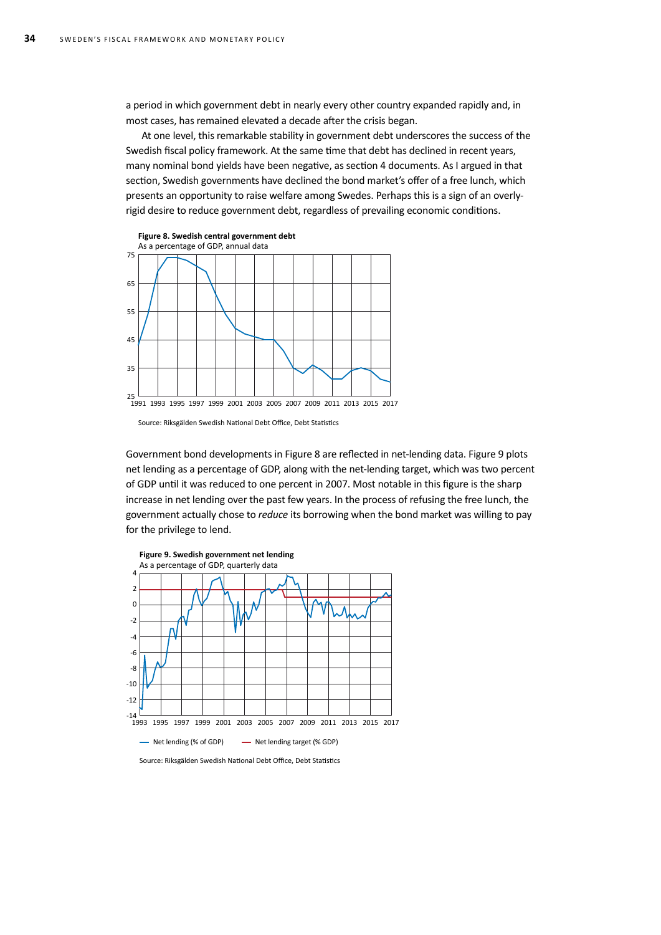a period in which government debt in nearly every other country expanded rapidly and, in most cases, has remained elevated a decade after the crisis began.

At one level, this remarkable stability in government debt underscores the success of the Swedish fiscal policy framework. At the same time that debt has declined in recent years, many nominal bond yields have been negative, as section 4 documents. As I argued in that section, Swedish governments have declined the bond market's offer of a free lunch, which presents an opportunity to raise welfare among Swedes. Perhaps this is a sign of an overlyrigid desire to reduce government debt, regardless of prevailing economic conditions.



Source: Riksgälden Swedish National Debt Office, Debt Statistics

Government bond developments in Figure 8 are reflected in net-lending data. Figure 9 plots net lending as a percentage of GDP, along with the net-lending target, which was two percent of GDP until it was reduced to one percent in 2007. Most notable in this figure is the sharp increase in net lending over the past few years. In the process of refusing the free lunch, the government actually chose to *reduce* its borrowing when the bond market was willing to pay for the privilege to lend.



Source: Riksgälden Swedish National Debt Office, Debt Statistics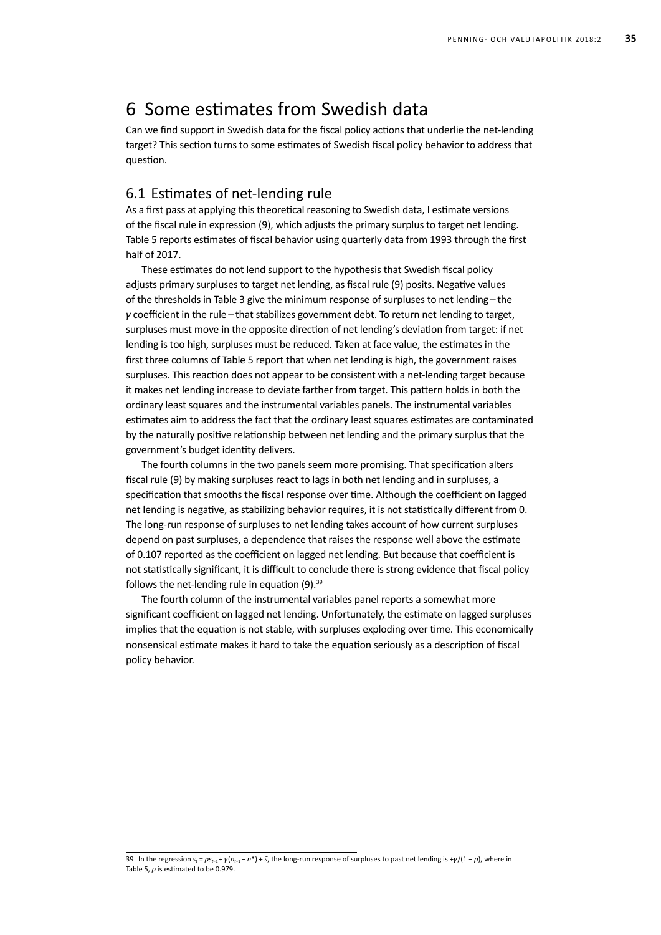# 6 Some estimates from Swedish data

Can we find support in Swedish data for the fiscal policy actions that underlie the net-lending target? This section turns to some estimates of Swedish fiscal policy behavior to address that question.

### 6.1 Estimates of net-lending rule

As a first pass at applying this theoretical reasoning to Swedish data, I estimate versions of the fiscal rule in expression (9), which adjusts the primary surplus to target net lending. Table 5 reports estimates of fiscal behavior using quarterly data from 1993 through the first half of 2017.

These estimates do not lend support to the hypothesis that Swedish fiscal policy adjusts primary surpluses to target net lending, as fiscal rule (9) posits. Negative values of the thresholds in Table 3 give the minimum response of surpluses to net lending - the *γ* coefficient in the rule – that stabilizes government debt. To return net lending to target, surpluses must move in the opposite direction of net lending's deviation from target: if net lending is too high, surpluses must be reduced. Taken at face value, the estimates in the first three columns of Table 5 report that when net lending is high, the government raises surpluses. This reaction does not appear to be consistent with a net-lending target because it makes net lending increase to deviate farther from target. This pattern holds in both the ordinary least squares and the instrumental variables panels. The instrumental variables estimates aim to address the fact that the ordinary least squares estimates are contaminated by the naturally positive relationship between net lending and the primary surplus that the government's budget identity delivers.

The fourth columns in the two panels seem more promising. That specification alters fiscal rule (9) by making surpluses react to lags in both net lending and in surpluses, a specification that smooths the fiscal response over time. Although the coefficient on lagged net lending is negative, as stabilizing behavior requires, it is not statistically different from 0. The long-run response of surpluses to net lending takes account of how current surpluses depend on past surpluses, a dependence that raises the response well above the estimate of 0.107 reported as the coefficient on lagged net lending. But because that coefficient is not statistically significant, it is difficult to conclude there is strong evidence that fiscal policy follows the net-lending rule in equation  $(9).^{39}$ 

The fourth column of the instrumental variables panel reports a somewhat more significant coefficient on lagged net lending. Unfortunately, the estimate on lagged surpluses implies that the equation is not stable, with surpluses exploding over time. This economically nonsensical estimate makes it hard to take the equation seriously as a description of fiscal policy behavior.

<sup>39</sup> In the regression  $s_r = \rho s_{r-1} + \gamma(n_{r-1} - n^*) + \bar{s}$ , the long-run response of surpluses to past net lending is + $\gamma/(1 - \rho)$ , where in Table 5, *ρ* is estimated to be 0.979.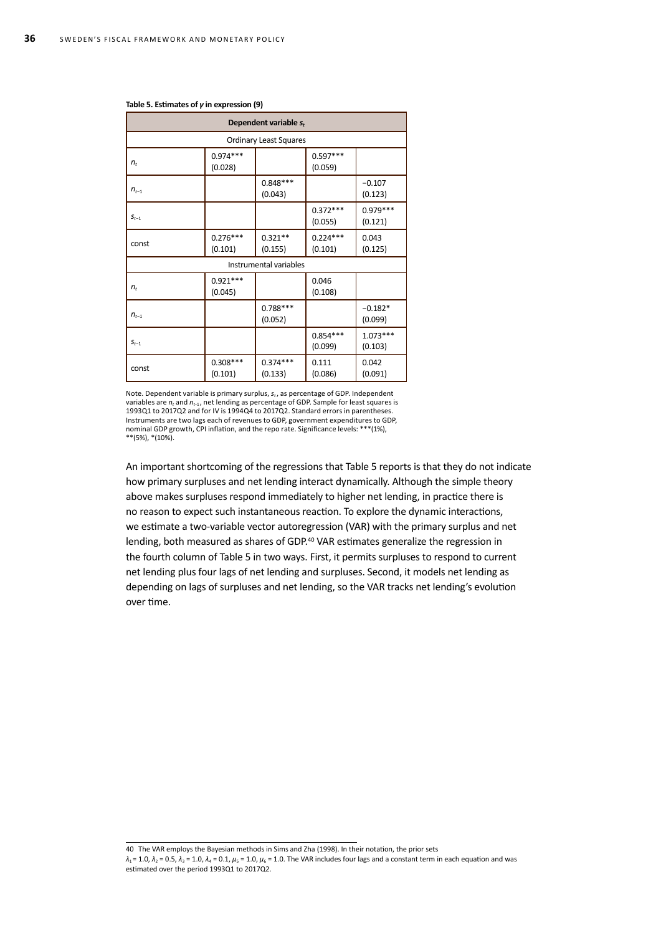| Dependent variable $s_t$  |                               |                        |                       |                       |  |  |
|---------------------------|-------------------------------|------------------------|-----------------------|-----------------------|--|--|
|                           | <b>Ordinary Least Squares</b> |                        |                       |                       |  |  |
| $n_t$                     | $0.974***$<br>(0.028)         |                        | $0.597***$<br>(0.059) |                       |  |  |
| $n_{t-1}$                 |                               | $0.848***$<br>(0.043)  |                       | $-0.107$<br>(0.123)   |  |  |
| $\textbf{\emph{S}}_{t-1}$ |                               |                        | $0.372***$<br>(0.055) | $0.979***$<br>(0.121) |  |  |
| const                     | $0.276***$<br>(0.101)         | $0.321**$<br>(0.155)   | $0.224***$<br>(0.101) | 0.043<br>(0.125)      |  |  |
|                           |                               | Instrumental variables |                       |                       |  |  |
| $n_t$                     | $0.921***$<br>(0.045)         |                        | 0.046<br>(0.108)      |                       |  |  |
| $n_{t-1}$                 |                               | $0.788***$<br>(0.052)  |                       | $-0.182*$<br>(0.099)  |  |  |
| $S_{t-1}$                 |                               |                        | $0.854***$<br>(0.099) | $1.073***$<br>(0.103) |  |  |
| const                     | $0.308***$<br>(0.101)         | $0.374***$<br>(0.133)  | 0.111<br>(0.086)      | 0.042<br>(0.091)      |  |  |

#### **Table 5. Estimates of** *γ* **in expression (9)**

Note. Dependent variable is primary surplus,  $s_t$ , as percentage of GDP. Independent variables are *nt* and *nt*−1 , net lending as percentage of GDP. Sample for least squares is 1993Q1 to 2017Q2 and for IV is 1994Q4 to 2017Q2. Standard errors in parentheses. Instruments are two lags each of revenues to GDP, government expenditures to GDP, nominal GDP growth, CPI inflation, and the repo rate. Significance levels: \*\*\*(1%), \*\*(5%), \*(10%).

An important shortcoming of the regressions that Table 5 reports is that they do not indicate how primary surpluses and net lending interact dynamically. Although the simple theory above makes surpluses respond immediately to higher net lending, in practice there is no reason to expect such instantaneous reaction. To explore the dynamic interactions, we estimate a two-variable vector autoregression (VAR) with the primary surplus and net lending, both measured as shares of GDP.40 VAR estimates generalize the regression in the fourth column of Table 5 in two ways. First, it permits surpluses to respond to current net lending plus four lags of net lending and surpluses. Second, it models net lending as depending on lags of surpluses and net lending, so the VAR tracks net lending's evolution over time.

40 The VAR employs the Bayesian methods in Sims and Zha (1998). In their notation, the prior sets

 $\lambda_1$  = 1.0,  $\lambda_2$  = 0.5,  $\lambda_3$  = 1.0,  $\lambda_4$  = 0.1,  $\mu_5$  = 1.0,  $\mu_6$  = 1.0. The VAR includes four lags and a constant term in each equation and was estimated over the period 1993Q1 to 2017Q2.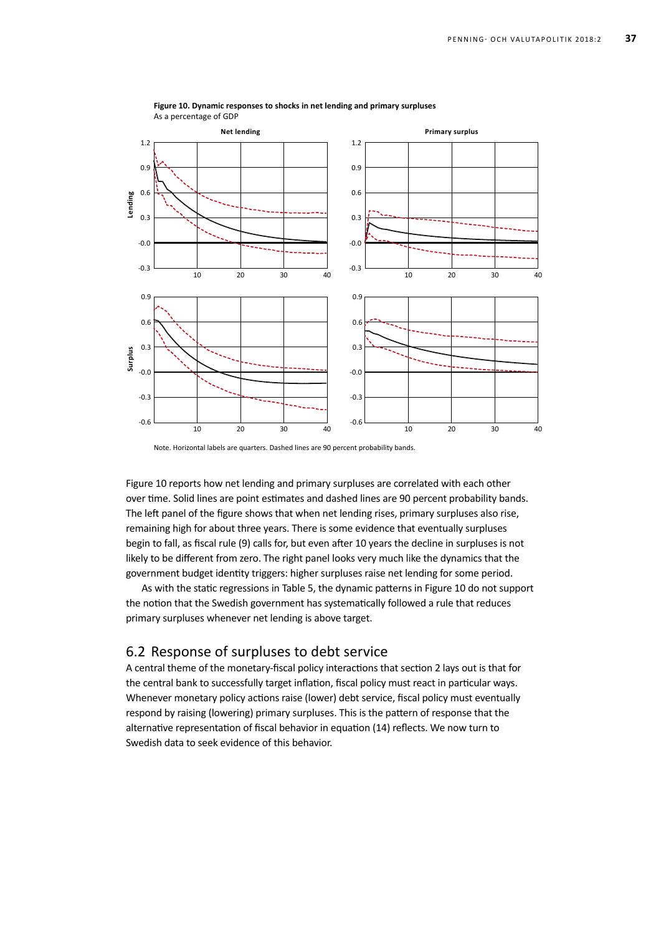

#### **Figure 10. Dynamic responses to shocks in net lending and primary surpluses** As a percentage of GDP

Note. Horizontal labels are quarters. Dashed lines are 90 percent probability bands.

Figure 10 reports how net lending and primary surpluses are correlated with each other over time. Solid lines are point estimates and dashed lines are 90 percent probability bands. The left panel of the figure shows that when net lending rises, primary surpluses also rise, remaining high for about three years. There is some evidence that eventually surpluses begin to fall, as fiscal rule (9) calls for, but even after 10 years the decline in surpluses is not likely to be different from zero. The right panel looks very much like the dynamics that the government budget identity triggers: higher surpluses raise net lending for some period.

As with the static regressions in Table 5, the dynamic patterns in Figure 10 do not support the notion that the Swedish government has systematically followed a rule that reduces primary surpluses whenever net lending is above target.

### 6.2 Response of surpluses to debt service

A central theme of the monetary-fiscal policy interactions that section 2 lays out is that for the central bank to successfully target inflation, fiscal policy must react in particular ways. Whenever monetary policy actions raise (lower) debt service, fiscal policy must eventually respond by raising (lowering) primary surpluses. This is the pattern of response that the alternative representation of fiscal behavior in equation (14) reflects. We now turn to Swedish data to seek evidence of this behavior.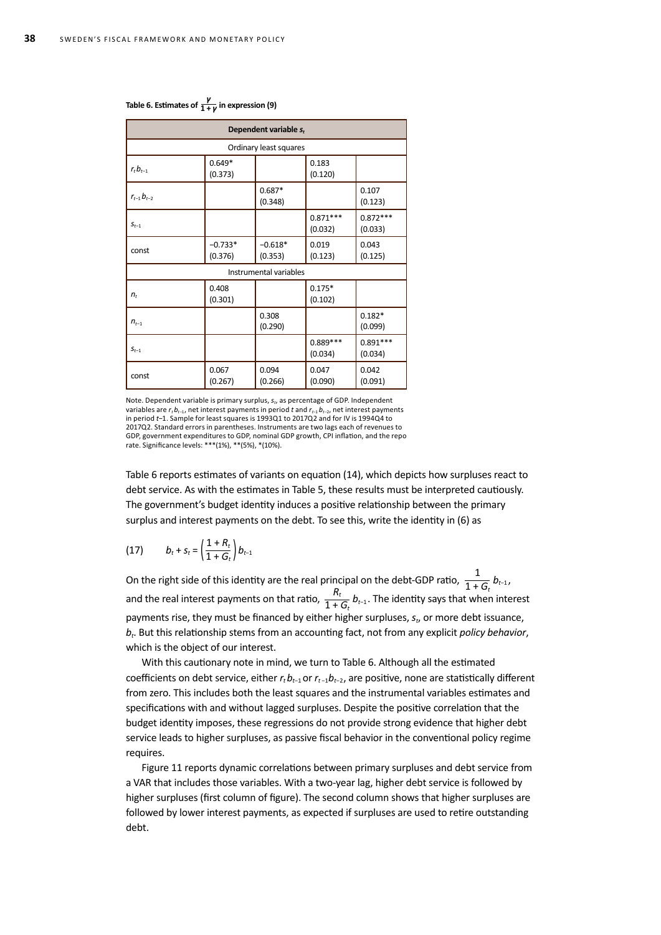| Dependent variable $s_t$ |                      |                        |                       |                       |  |
|--------------------------|----------------------|------------------------|-----------------------|-----------------------|--|
|                          |                      | Ordinary least squares |                       |                       |  |
| $r_t b_{t-1}$            | $0.649*$<br>(0.373)  |                        | 0.183<br>(0.120)      |                       |  |
| $r_{t-1}b_{t-2}$         |                      | $0.687*$<br>(0.348)    |                       | 0.107<br>(0.123)      |  |
| $S_{t-1}$                |                      |                        | $0.871***$<br>(0.032) | $0.872***$<br>(0.033) |  |
| const                    | $-0.733*$<br>(0.376) | $-0.618*$<br>(0.353)   | 0.019<br>(0.123)      | 0.043<br>(0.125)      |  |
|                          |                      | Instrumental variables |                       |                       |  |
| $n_t$                    | 0.408<br>(0.301)     |                        | $0.175*$<br>(0.102)   |                       |  |
| $n_{t-1}$                |                      | 0.308<br>(0.290)       |                       | $0.182*$<br>(0.099)   |  |
| $S_{t-1}$                |                      |                        | 0.889***<br>(0.034)   | $0.891***$<br>(0.034) |  |
| const                    | 0.067<br>(0.267)     | 0.094<br>(0.266)       | 0.047<br>(0.090)      | 0.042<br>(0.091)      |  |

### **Table 6. Estimates of** *<sup>γ</sup>* **1 +** *γ* **in expression (9)**

Note. Dependent variable is primary surplus, *st*, as percentage of GDP. Independent variables are *rt bt*−1, net interest payments in period *t* and *rt*−1 *bt*−2, net interest payments in period *t*−1. Sample for least squares is 1993Q1 to 2017Q2 and for IV is 1994Q4 to 2017Q2. Standard errors in parentheses. Instruments are two lags each of revenues to GDP, government expenditures to GDP, nominal GDP growth, CPI inflation, and the repo rate. Significance levels: \*\*\*(1%), \*\*(5%), \*(10%).

Table 6 reports estimates of variants on equation (14), which depicts how surpluses react to debt service. As with the estimates in Table 5, these results must be interpreted cautiously. The government's budget identity induces a positive relationship between the primary surplus and interest payments on the debt. To see this, write the identity in (6) as

$$
(17) \t bt + st = \left(\frac{1+R_t}{1+G_t}\right) bt-1
$$

On the right side of this identity are the real principal on the debt-GDP ratio,  $\frac{1}{1+G_t}$   $b_{t-1}$ , and the real interest payments on that ratio,  $\frac{R_t}{1 + G_t} b_{t-1}$ . The identity says that when interest payments rise, they must be financed by either higher surpluses, *st*, or more debt issuance, *bt*. But this relationship stems from an accounting fact, not from any explicit *policy behavior*, which is the object of our interest.

With this cautionary note in mind, we turn to Table 6. Although all the estimated coefficients on debt service, either *r<sub>t</sub>b<sub>t−1</sub>* or *r<sub>t−1</sub>b<sub>t−2</sub>*, are positive, none are statistically different from zero. This includes both the least squares and the instrumental variables estimates and specifications with and without lagged surpluses. Despite the positive correlation that the budget identity imposes, these regressions do not provide strong evidence that higher debt service leads to higher surpluses, as passive fiscal behavior in the conventional policy regime requires.

Figure 11 reports dynamic correlations between primary surpluses and debt service from a VAR that includes those variables. With a two-year lag, higher debt service is followed by higher surpluses (first column of figure). The second column shows that higher surpluses are followed by lower interest payments, as expected if surpluses are used to retire outstanding debt.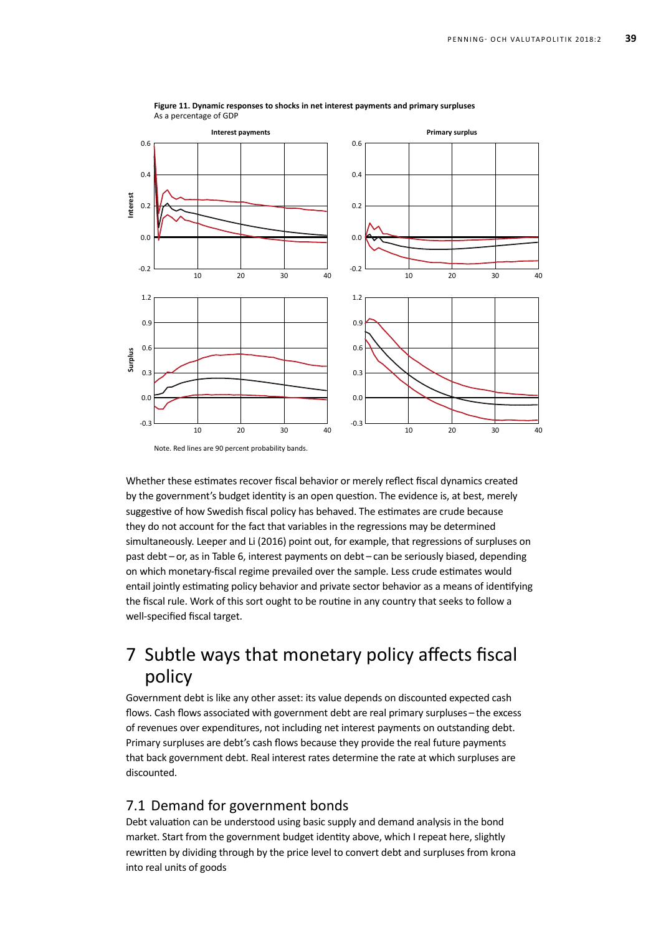

**Figure 11. Dynamic responses to shocks in net interest payments and primary surpluses** As a percentage of GDP

Whether these estimates recover fiscal behavior or merely reflect fiscal dynamics created by the government's budget identity is an open question. The evidence is, at best, merely suggestive of how Swedish fiscal policy has behaved. The estimates are crude because they do not account for the fact that variables in the regressions may be determined simultaneously. Leeper and Li (2016) point out, for example, that regressions of surpluses on past debt – or, as in Table 6, interest payments on debt – can be seriously biased, depending on which monetary-fiscal regime prevailed over the sample. Less crude estimates would entail jointly estimating policy behavior and private sector behavior as a means of identifying the fiscal rule. Work of this sort ought to be routine in any country that seeks to follow a well-specified fiscal target.

# 7 Subtle ways that monetary policy affects fiscal policy

Government debt is like any other asset: its value depends on discounted expected cash flows. Cash flows associated with government debt are real primary surpluses – the excess of revenues over expenditures, not including net interest payments on outstanding debt. Primary surpluses are debt's cash flows because they provide the real future payments that back government debt. Real interest rates determine the rate at which surpluses are discounted.

### 7.1 Demand for government bonds

Debt valuation can be understood using basic supply and demand analysis in the bond market. Start from the government budget identity above, which I repeat here, slightly rewritten by dividing through by the price level to convert debt and surpluses from krona into real units of goods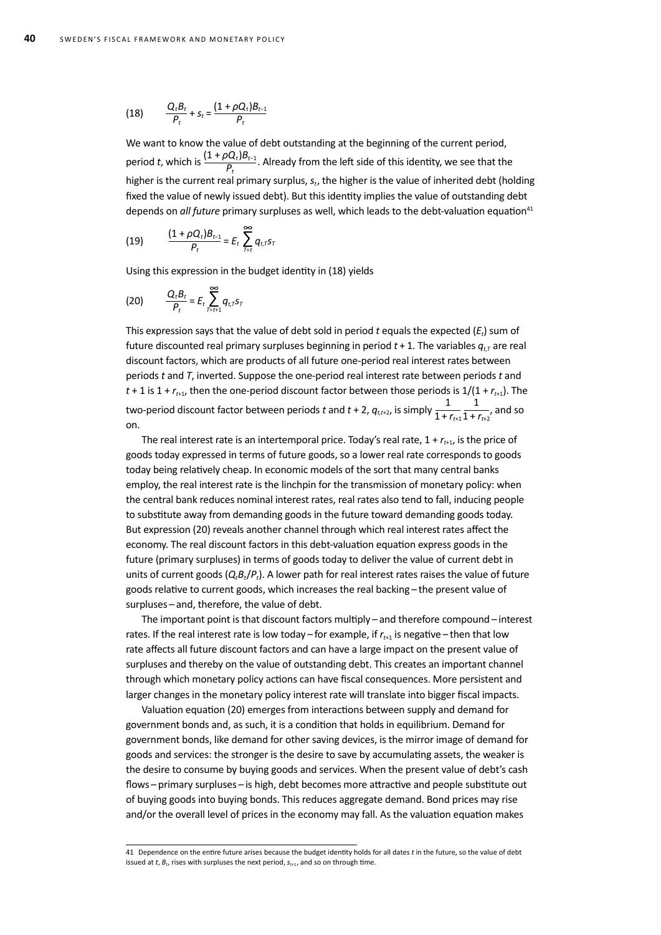(18) 
$$
\frac{Q_t B_t}{P_t} + S_t = \frac{(1 + \rho Q_t) B_{t-1}}{P_t}
$$

We want to know the value of debt outstanding at the beginning of the current period. period *t*, which is  $\frac{(1+\rho Q_t)B_{t-1}}{P_t}$ . Already from the left side of this identity, we see that the higher is the current real primary surplus, *st*, the higher is the value of inherited debt (holding fixed the value of newly issued debt). But this identity implies the value of outstanding debt depends on *all future* primary surpluses as well, which leads to the debt-valuation equation<sup>41</sup>

(19) 
$$
\frac{(1+\rho Q_t)B_{t-1}}{P_t} = E_t \sum_{T=t}^{\infty} q_{t,T} s_T
$$

Using this expression in the budget identity in (18) yields

$$
(20) \qquad \frac{Q_t B_t}{P_t} = E_t \sum_{T=t+1}^{\infty} q_{t,T} s_T
$$

This expression says that the value of debt sold in period *t* equals the expected (*Et*) sum of future discounted real primary surpluses beginning in period  $t + 1$ . The variables  $q_{t}$  are real discount factors, which are products of all future one-period real interest rates between periods *t* and *T*, inverted. Suppose the one-period real interest rate between periods *t* and  $t + 1$  is  $1 + r_{t+1}$ , then the one-period discount factor between those periods is  $1/(1 + r_{t+1})$ . The two-period discount factor between periods  $t$  and  $t$  + 2,  $q_{t,t+2}$ , is simply  $\frac{1}{1+r_{t+1}}$ 1  $\frac{1}{1 + r_{t+2}}$ , and so on.

The real interest rate is an intertemporal price. Today's real rate,  $1 + r_{t+1}$ , is the price of goods today expressed in terms of future goods, so a lower real rate corresponds to goods today being relatively cheap. In economic models of the sort that many central banks employ, the real interest rate is the linchpin for the transmission of monetary policy: when the central bank reduces nominal interest rates, real rates also tend to fall, inducing people to substitute away from demanding goods in the future toward demanding goods today. But expression (20) reveals another channel through which real interest rates affect the economy. The real discount factors in this debt-valuation equation express goods in the future (primary surpluses) in terms of goods today to deliver the value of current debt in units of current goods ( $Q_tB_t/P_t$ ). A lower path for real interest rates raises the value of future goods relative to current goods, which increases the real backing – the present value of surpluses – and, therefore, the value of debt.

The important point is that discount factors multiply – and therefore compound – interest rates. If the real interest rate is low today – for example, if  $r_{t+1}$  is negative – then that low rate affects all future discount factors and can have a large impact on the present value of surpluses and thereby on the value of outstanding debt. This creates an important channel through which monetary policy actions can have fiscal consequences. More persistent and larger changes in the monetary policy interest rate will translate into bigger fiscal impacts.

Valuation equation (20) emerges from interactions between supply and demand for government bonds and, as such, it is a condition that holds in equilibrium. Demand for government bonds, like demand for other saving devices, is the mirror image of demand for goods and services: the stronger is the desire to save by accumulating assets, the weaker is the desire to consume by buying goods and services. When the present value of debt's cash flows – primary surpluses – is high, debt becomes more attractive and people substitute out of buying goods into buying bonds. This reduces aggregate demand. Bond prices may rise and/or the overall level of prices in the economy may fall. As the valuation equation makes

<sup>41</sup> Dependence on the entire future arises because the budget identity holds for all dates *t* in the future, so the value of debt issued at  $t$ ,  $B_t$ , rises with surpluses the next period,  $s_{t+1}$ , and so on through time.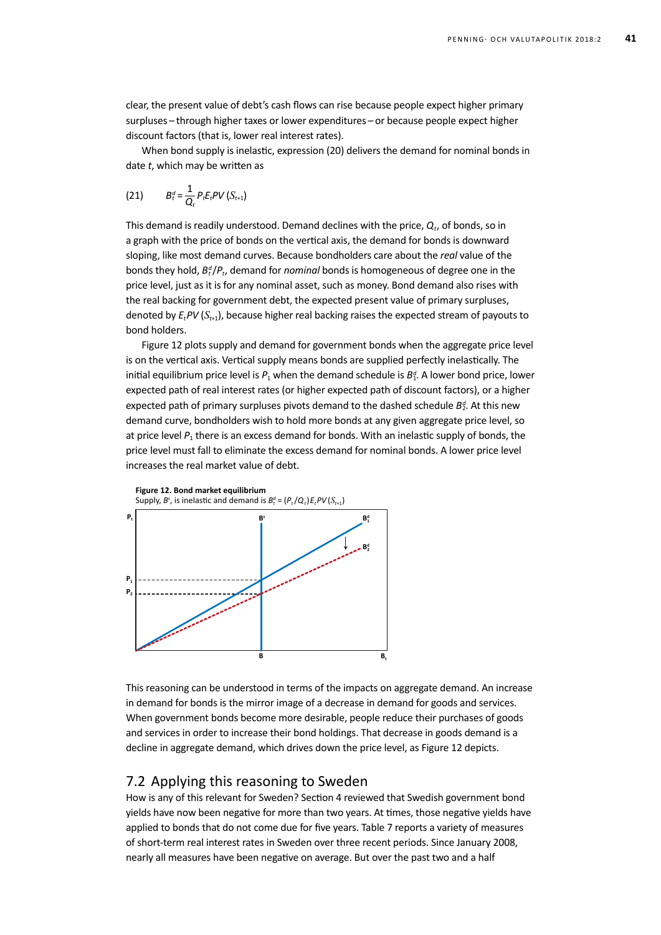clear, the present value of debt's cash flows can rise because people expect higher primary surpluses – through higher taxes or lower expenditures – or because people expect higher discount factors (that is, lower real interest rates).

When bond supply is inelastic, expression (20) delivers the demand for nominal bonds in date *t*, which may be written as

(21) 
$$
B_t^d = \frac{1}{Q_t} P_t E_t PV (S_{t+1})
$$

This demand is readily understood. Demand declines with the price,  $Q_t$ , of bonds, so in a graph with the price of bonds on the vertical axis, the demand for bonds is downward sloping, like most demand curves. Because bondholders care about the *real* value of the bonds they hold,  $B_t^d/P_t$ , demand for *nominal* bonds is homogeneous of degree one in the price level, just as it is for any nominal asset, such as money. Bond demand also rises with the real backing for government debt, the expected present value of primary surpluses, denoted by  $E_t$ *PV*  $(S_{t+1})$ , because higher real backing raises the expected stream of payouts to bond holders.

Figure 12 plots supply and demand for government bonds when the aggregate price level is on the vertical axis. Vertical supply means bonds are supplied perfectly inelastically. The initial equilibrium price level is  $P_1$  when the demand schedule is  $B_1^d$ . A lower bond price, lower expected path of real interest rates (or higher expected path of discount factors), or a higher expected path of primary surpluses pivots demand to the dashed schedule B<sup>d</sup>. At this new demand curve, bondholders wish to hold more bonds at any given aggregate price level, so at price level  $P_1$  there is an excess demand for bonds. With an inelastic supply of bonds, the price level must fall to eliminate the excess demand for nominal bonds. A lower price level increases the real market value of debt.



This reasoning can be understood in terms of the impacts on aggregate demand. An increase in demand for bonds is the mirror image of a decrease in demand for goods and services. When government bonds become more desirable, people reduce their purchases of goods and services in order to increase their bond holdings. That decrease in goods demand is a decline in aggregate demand, which drives down the price level, as Figure 12 depicts.

#### 7.2 Applying this reasoning to Sweden

How is any of this relevant for Sweden? Section 4 reviewed that Swedish government bond yields have now been negative for more than two years. At times, those negative yields have applied to bonds that do not come due for five years. Table 7 reports a variety of measures of short-term real interest rates in Sweden over three recent periods. Since January 2008, nearly all measures have been negative on average. But over the past two and a half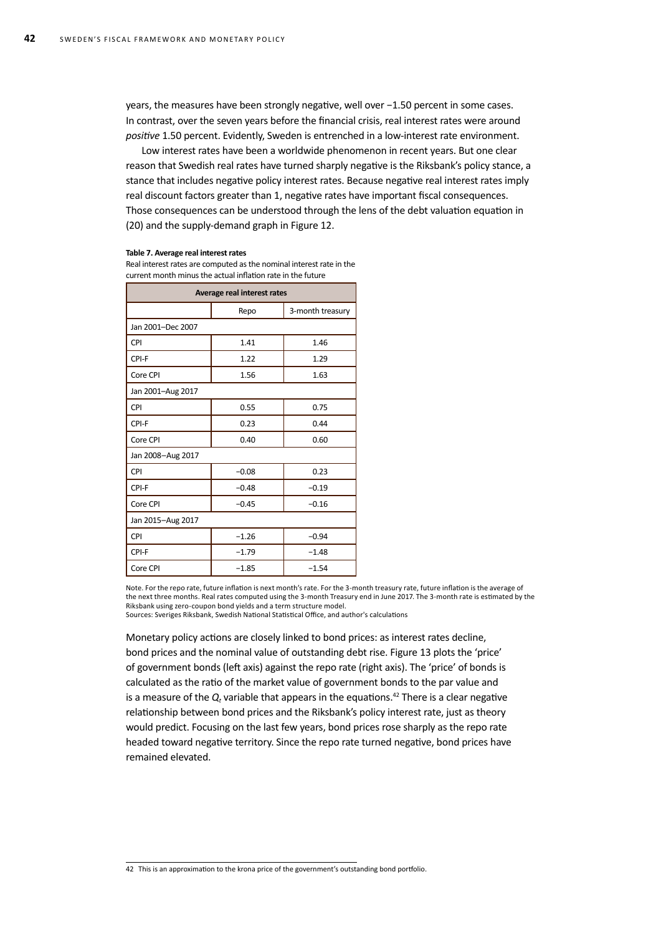years, the measures have been strongly negative, well over −1.50 percent in some cases. In contrast, over the seven years before the financial crisis, real interest rates were around *positive* 1.50 percent. Evidently, Sweden is entrenched in a low-interest rate environment.

Low interest rates have been a worldwide phenomenon in recent years. But one clear reason that Swedish real rates have turned sharply negative is the Riksbank's policy stance, a stance that includes negative policy interest rates. Because negative real interest rates imply real discount factors greater than 1, negative rates have important fiscal consequences. Those consequences can be understood through the lens of the debt valuation equation in (20) and the supply-demand graph in Figure 12.

#### **Table 7. Average real interest rates**

Real interest rates are computed as the nominal interest rate in the current month minus the actual inflation rate in the future

| Average real interest rates |         |                  |  |  |  |  |
|-----------------------------|---------|------------------|--|--|--|--|
|                             | Repo    | 3-month treasury |  |  |  |  |
| Jan 2001-Dec 2007           |         |                  |  |  |  |  |
| CPI                         | 1.41    | 1.46             |  |  |  |  |
| CPI-F                       | 1.22    | 1.29             |  |  |  |  |
| Core CPI                    | 1.56    | 1.63             |  |  |  |  |
| Jan 2001-Aug 2017           |         |                  |  |  |  |  |
| CPI                         | 0.55    | 0.75             |  |  |  |  |
| CPI-F                       | 0.23    | 0.44             |  |  |  |  |
| Core CPI                    | 0.40    | 0.60             |  |  |  |  |
| Jan 2008-Aug 2017           |         |                  |  |  |  |  |
| CPI                         | $-0.08$ | 0.23             |  |  |  |  |
| CPI-F                       | $-0.48$ | $-0.19$          |  |  |  |  |
| Core CPI                    | $-0.45$ | $-0.16$          |  |  |  |  |
| Jan 2015-Aug 2017           |         |                  |  |  |  |  |
| CPI                         | $-1.26$ | $-0.94$          |  |  |  |  |
| CPI-F                       | $-1.79$ | $-1.48$          |  |  |  |  |
| Core CPI                    | $-1.85$ | $-1.54$          |  |  |  |  |

Note. For the repo rate, future inflation is next month's rate. For the 3-month treasury rate, future inflation is the average of the next three months. Real rates computed using the 3-month Treasury end in June 2017. The 3-month rate is estimated by the Riksbank using zero-coupon bond yields and a term structure model. Sources: Sveriges Riksbank, Swedish National Statistical Office, and author's calculations

Monetary policy actions are closely linked to bond prices: as interest rates decline, bond prices and the nominal value of outstanding debt rise. Figure 13 plots the 'price' of government bonds (left axis) against the repo rate (right axis). The 'price' of bonds is calculated as the ratio of the market value of government bonds to the par value and is a measure of the  $Q_t$  variable that appears in the equations.<sup>42</sup> There is a clear negative relationship between bond prices and the Riksbank's policy interest rate, just as theory would predict. Focusing on the last few years, bond prices rose sharply as the repo rate headed toward negative territory. Since the repo rate turned negative, bond prices have remained elevated.

42 This is an approximation to the krona price of the government's outstanding bond portfolio.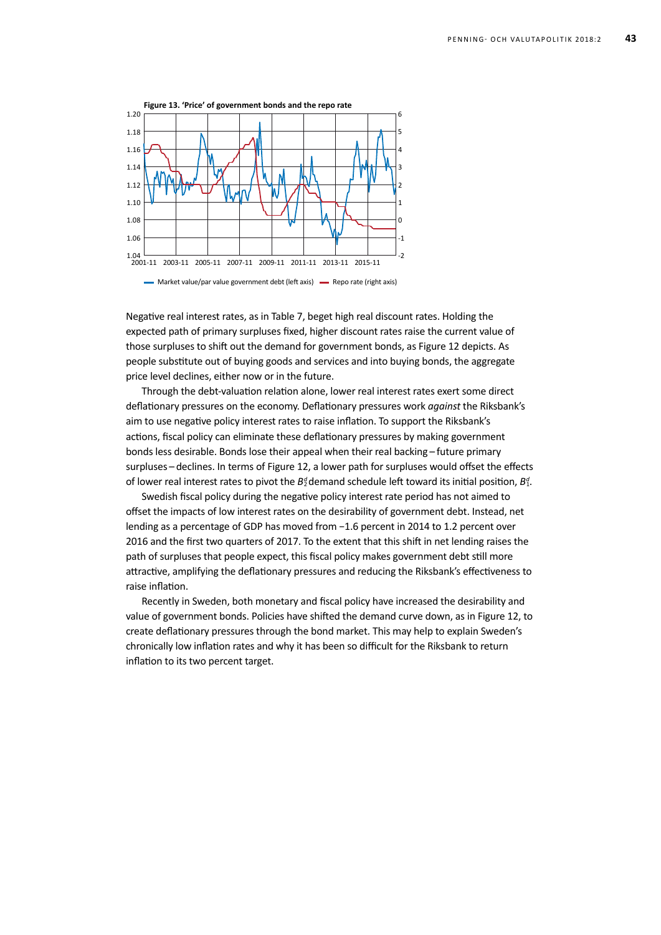

Negative real interest rates, as in Table 7, beget high real discount rates. Holding the expected path of primary surpluses fixed, higher discount rates raise the current value of those surpluses to shift out the demand for government bonds, as Figure 12 depicts. As people substitute out of buying goods and services and into buying bonds, the aggregate price level declines, either now or in the future.

Through the debt-valuation relation alone, lower real interest rates exert some direct deflationary pressures on the economy. Deflationary pressures work *against* the Riksbank's aim to use negative policy interest rates to raise inflation. To support the Riksbank's actions, fiscal policy can eliminate these deflationary pressures by making government bonds less desirable. Bonds lose their appeal when their real backing – future primary surpluses - declines. In terms of Figure 12, a lower path for surpluses would offset the effects of lower real interest rates to pivot the  $B_2^d$  demand schedule left toward its initial position,  $B_1^d$ .

Swedish fiscal policy during the negative policy interest rate period has not aimed to offset the impacts of low interest rates on the desirability of government debt. Instead, net lending as a percentage of GDP has moved from −1.6 percent in 2014 to 1.2 percent over 2016 and the first two quarters of 2017. To the extent that this shift in net lending raises the path of surpluses that people expect, this fiscal policy makes government debt still more attractive, amplifying the deflationary pressures and reducing the Riksbank's effectiveness to raise inflation.

Recently in Sweden, both monetary and fiscal policy have increased the desirability and value of government bonds. Policies have shifted the demand curve down, as in Figure 12, to create deflationary pressures through the bond market. This may help to explain Sweden's chronically low inflation rates and why it has been so difficult for the Riksbank to return inflation to its two percent target.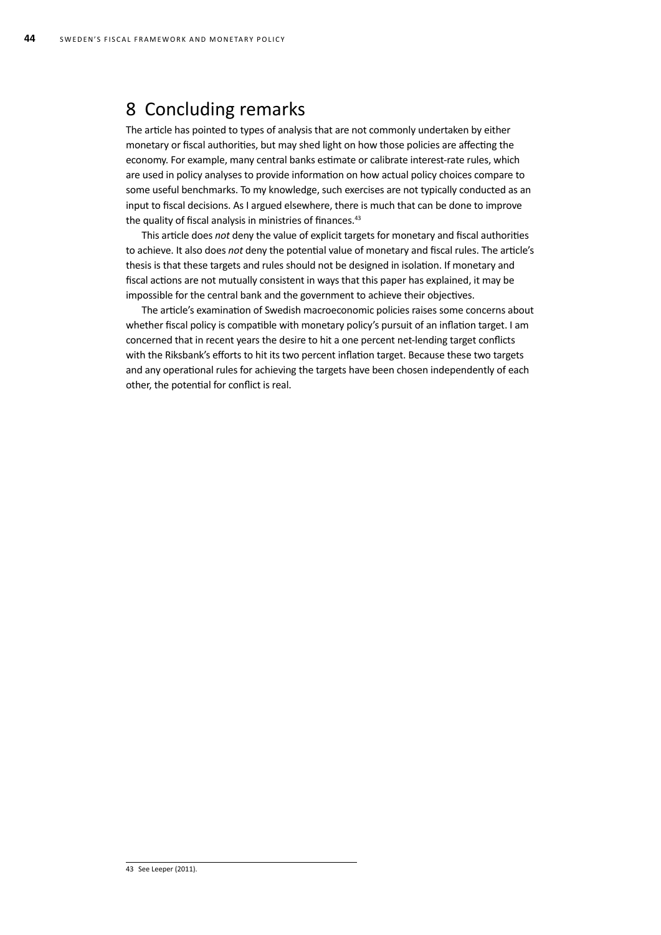### 8 Concluding remarks

The article has pointed to types of analysis that are not commonly undertaken by either monetary or fiscal authorities, but may shed light on how those policies are affecting the economy. For example, many central banks estimate or calibrate interest-rate rules, which are used in policy analyses to provide information on how actual policy choices compare to some useful benchmarks. To my knowledge, such exercises are not typically conducted as an input to fiscal decisions. As I argued elsewhere, there is much that can be done to improve the quality of fiscal analysis in ministries of finances.<sup>43</sup>

This article does *not* deny the value of explicit targets for monetary and fiscal authorities to achieve. It also does *not* deny the potential value of monetary and fiscal rules. The article's thesis is that these targets and rules should not be designed in isolation. If monetary and fiscal actions are not mutually consistent in ways that this paper has explained, it may be impossible for the central bank and the government to achieve their objectives.

The article's examination of Swedish macroeconomic policies raises some concerns about whether fiscal policy is compatible with monetary policy's pursuit of an inflation target. I am concerned that in recent years the desire to hit a one percent net-lending target conflicts with the Riksbank's efforts to hit its two percent inflation target. Because these two targets and any operational rules for achieving the targets have been chosen independently of each other, the potential for conflict is real.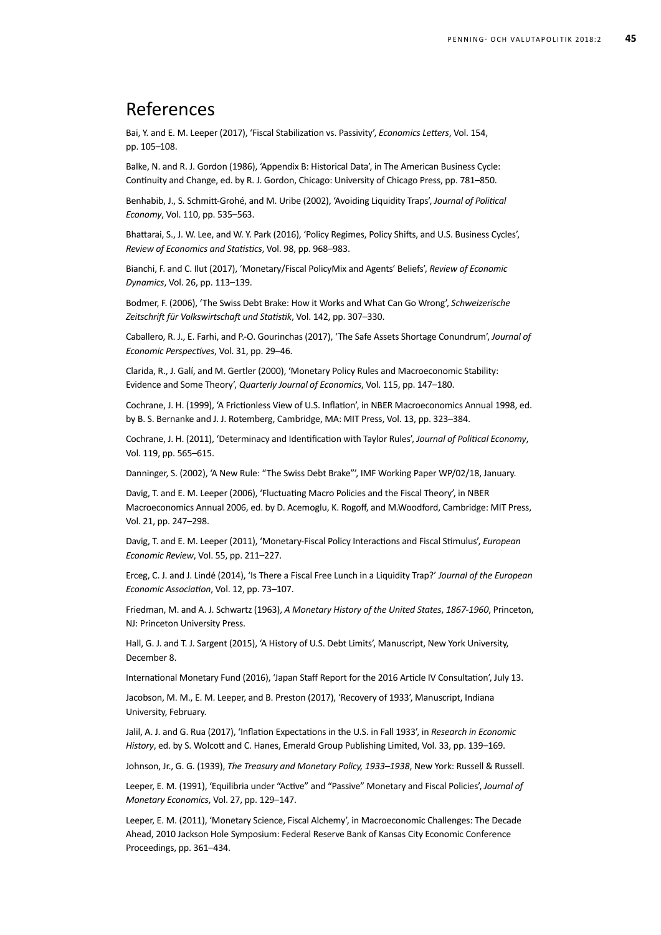# References

Bai, Y. and E. M. Leeper (2017), 'Fiscal Stabilization vs. Passivity', *Economics Letters*, Vol. 154, pp. 105–108.

Balke, N. and R. J. Gordon (1986), 'Appendix B: Historical Data', in The American Business Cycle: Continuity and Change, ed. by R. J. Gordon, Chicago: University of Chicago Press, pp. 781–850.

Benhabib, J., S. Schmitt-Grohé, and M. Uribe (2002), 'Avoiding Liquidity Traps', *Journal of Political Economy*, Vol. 110, pp. 535–563.

Bhattarai, S., J. W. Lee, and W. Y. Park (2016), 'Policy Regimes, Policy Shifts, and U.S. Business Cycles', *Review of Economics and Statistics*, Vol. 98, pp. 968–983.

Bianchi, F. and C. Ilut (2017), 'Monetary/Fiscal PolicyMix and Agents' Beliefs', *Review of Economic Dynamics*, Vol. 26, pp. 113–139.

Bodmer, F. (2006), 'The Swiss Debt Brake: How it Works and What Can Go Wrong', *Schweizerische Zeitschrift für Volkswirtschaft und Statistik*, Vol. 142, pp. 307–330.

Caballero, R. J., E. Farhi, and P.-O. Gourinchas (2017), 'The Safe Assets Shortage Conundrum', *Journal of Economic Perspectives*, Vol. 31, pp. 29–46.

Clarida, R., J. Galí, and M. Gertler (2000), 'Monetary Policy Rules and Macroeconomic Stability: Evidence and Some Theory', *Quarterly Journal of Economics*, Vol. 115, pp. 147–180.

Cochrane, J. H. (1999), 'A Frictionless View of U.S. Inflation', in NBER Macroeconomics Annual 1998, ed. by B. S. Bernanke and J. J. Rotemberg, Cambridge, MA: MIT Press, Vol. 13, pp. 323–384.

Cochrane, J. H. (2011), 'Determinacy and Identification with Taylor Rules', *Journal of Political Economy*, Vol. 119, pp. 565–615.

Danninger, S. (2002), 'A New Rule: "The Swiss Debt Brake"', IMF Working Paper WP/02/18, January.

Davig, T. and E. M. Leeper (2006), 'Fluctuating Macro Policies and the Fiscal Theory', in NBER Macroeconomics Annual 2006, ed. by D. Acemoglu, K. Rogoff, and M.Woodford, Cambridge: MIT Press, Vol. 21, pp. 247–298.

Davig, T. and E. M. Leeper (2011), 'Monetary-Fiscal Policy Interactions and Fiscal Stimulus', *European Economic Review*, Vol. 55, pp. 211–227.

Erceg, C. J. and J. Lindé (2014), 'Is There a Fiscal Free Lunch in a Liquidity Trap?' *Journal of the European Economic Association*, Vol. 12, pp. 73–107.

Friedman, M. and A. J. Schwartz (1963), *A Monetary History of the United States*, *1867-1960*, Princeton, NJ: Princeton University Press.

Hall, G. J. and T. J. Sargent (2015), 'A History of U.S. Debt Limits', Manuscript, New York University, December 8.

International Monetary Fund (2016), 'Japan Staff Report for the 2016 Article IV Consultation', July 13.

Jacobson, M. M., E. M. Leeper, and B. Preston (2017), 'Recovery of 1933', Manuscript, Indiana University, February.

Jalil, A. J. and G. Rua (2017), 'Inflation Expectations in the U.S. in Fall 1933', in *Research in Economic History*, ed. by S. Wolcott and C. Hanes, Emerald Group Publishing Limited, Vol. 33, pp. 139–169.

Johnson, Jr., G. G. (1939), *The Treasury and Monetary Policy, 1933–1938*, New York: Russell & Russell.

Leeper, E. M. (1991), 'Equilibria under "Active" and "Passive" Monetary and Fiscal Policies', *Journal of Monetary Economics*, Vol. 27, pp. 129–147.

Leeper, E. M. (2011), 'Monetary Science, Fiscal Alchemy', in Macroeconomic Challenges: The Decade Ahead, 2010 Jackson Hole Symposium: Federal Reserve Bank of Kansas City Economic Conference Proceedings, pp. 361–434.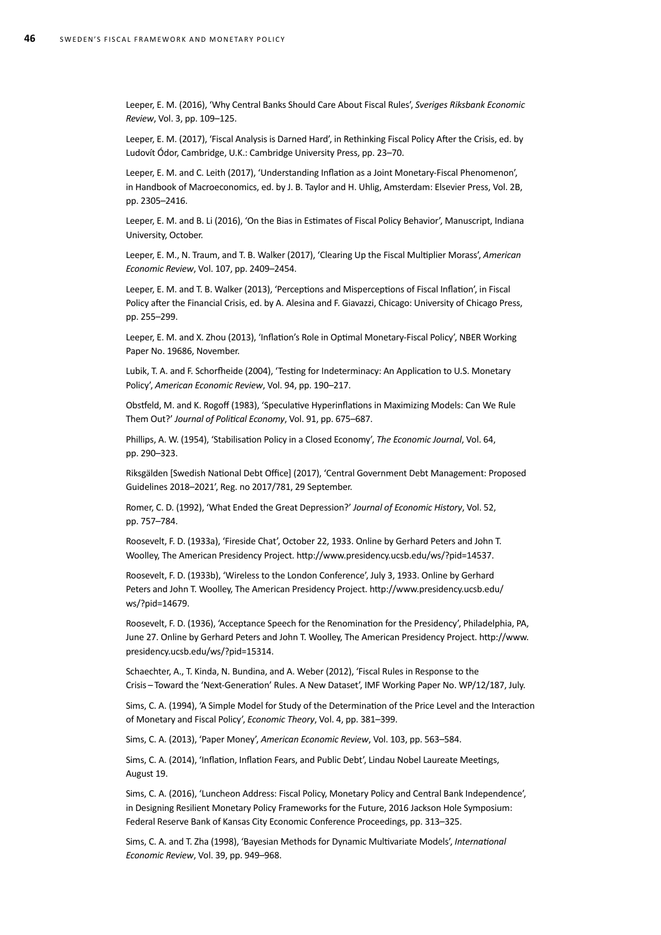Leeper, E. M. (2016), 'Why Central Banks Should Care About Fiscal Rules', *Sveriges Riksbank Economic Review*, Vol. 3, pp. 109–125.

Leeper, E. M. (2017), 'Fiscal Analysis is Darned Hard', in Rethinking Fiscal Policy After the Crisis, ed. by Ludovít Ódor, Cambridge, U.K.: Cambridge University Press, pp. 23–70.

Leeper, E. M. and C. Leith (2017), 'Understanding Inflation as a Joint Monetary-Fiscal Phenomenon', in Handbook of Macroeconomics, ed. by J. B. Taylor and H. Uhlig, Amsterdam: Elsevier Press, Vol. 2B, pp. 2305–2416.

Leeper, E. M. and B. Li (2016), 'On the Bias in Estimates of Fiscal Policy Behavior', Manuscript, Indiana University, October.

Leeper, E. M., N. Traum, and T. B. Walker (2017), 'Clearing Up the Fiscal Multiplier Morass', *American Economic Review*, Vol. 107, pp. 2409–2454.

Leeper, E. M. and T. B. Walker (2013), 'Perceptions and Misperceptions of Fiscal Inflation', in Fiscal Policy after the Financial Crisis, ed. by A. Alesina and F. Giavazzi, Chicago: University of Chicago Press, pp. 255–299.

Leeper, E. M. and X. Zhou (2013), 'Inflation's Role in Optimal Monetary-Fiscal Policy', NBER Working Paper No. 19686, November.

Lubik, T. A. and F. Schorfheide (2004), 'Testing for Indeterminacy: An Application to U.S. Monetary Policy', *American Economic Review*, Vol. 94, pp. 190–217.

Obstfeld, M. and K. Rogoff (1983), 'Speculative Hyperinflations in Maximizing Models: Can We Rule Them Out?' *Journal of Political Economy*, Vol. 91, pp. 675–687.

Phillips, A. W. (1954), 'Stabilisation Policy in a Closed Economy', *The Economic Journal*, Vol. 64, pp. 290–323.

Riksgälden [Swedish National Debt Office] (2017), 'Central Government Debt Management: Proposed Guidelines 2018–2021', Reg. no 2017/781, 29 September.

Romer, C. D. (1992), 'What Ended the Great Depression?' *Journal of Economic History*, Vol. 52, pp. 757–784.

Roosevelt, F. D. (1933a), 'Fireside Chat', October 22, 1933. Online by Gerhard Peters and John T. Woolley, The American Presidency Project. http://www.presidency.ucsb.edu/ws/?pid=14537.

Roosevelt, F. D. (1933b), 'Wireless to the London Conference', July 3, 1933. Online by Gerhard Peters and John T. Woolley, The American Presidency Project. http://www.presidency.ucsb.edu/ ws/?pid=14679.

Roosevelt, F. D. (1936), 'Acceptance Speech for the Renomination for the Presidency', Philadelphia, PA, June 27. Online by Gerhard Peters and John T. Woolley, The American Presidency Project. http://www. presidency.ucsb.edu/ws/?pid=15314.

Schaechter, A., T. Kinda, N. Bundina, and A. Weber (2012), 'Fiscal Rules in Response to the Crisis – Toward the 'Next-Generation' Rules. A New Dataset', IMF Working Paper No. WP/12/187, July.

Sims, C. A. (1994), 'A Simple Model for Study of the Determination of the Price Level and the Interaction of Monetary and Fiscal Policy', *Economic Theory*, Vol. 4, pp. 381–399.

Sims, C. A. (2013), 'Paper Money', *American Economic Review*, Vol. 103, pp. 563–584.

Sims, C. A. (2014), 'Inflation, Inflation Fears, and Public Debt', Lindau Nobel Laureate Meetings, August 19.

Sims, C. A. (2016), 'Luncheon Address: Fiscal Policy, Monetary Policy and Central Bank Independence', in Designing Resilient Monetary Policy Frameworks for the Future, 2016 Jackson Hole Symposium: Federal Reserve Bank of Kansas City Economic Conference Proceedings, pp. 313–325.

Sims, C. A. and T. Zha (1998), 'Bayesian Methods for Dynamic Multivariate Models', *International Economic Review*, Vol. 39, pp. 949–968.